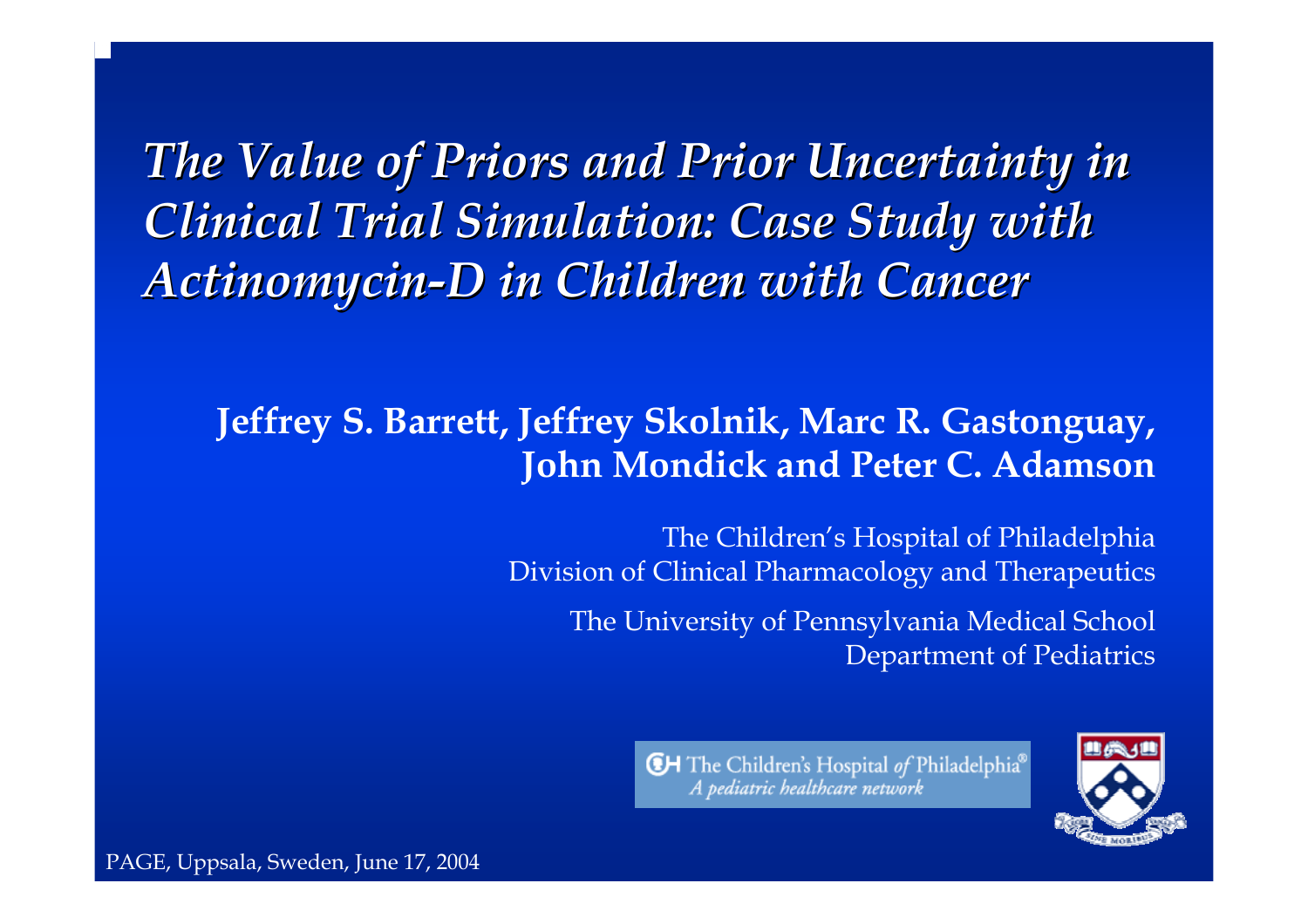*The Value of Priors and Prior Uncertainty in Clinical Trial Simulation: Case Study with Clinical Trial Simulation: Case Study with*  **Actinomycin-D in Children with Cancer** 

### **Jeffrey S. Barrett, Jeffrey Skolnik, Marc R. Gastonguay, John Mondick and Peter C. Adamson**

The Children's Hospital of Philadelphia Division of Clinical Pharmacology and Therapeutics

The University of Pen nsylvania Medical School Department of Pediatrics



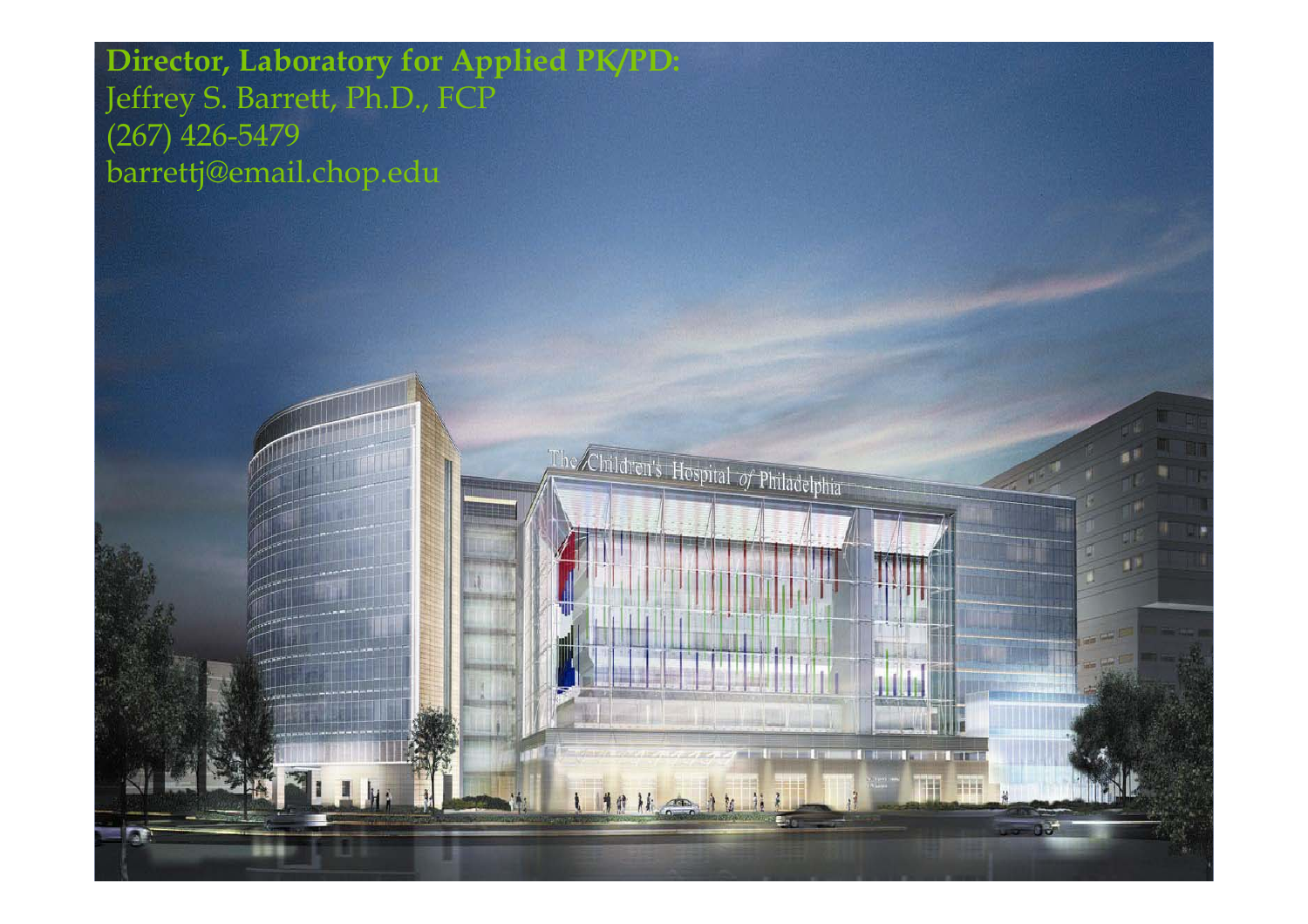**Director, Laboratory for Applied PK/PD:** Jeffrey S. Barrett, Ph.D., FCP (267) 426-5479 barrettj@email.chop.edu

The Children's Hospital of Philadelphia

1111 11

**CONTRACTOR** THE

**THE**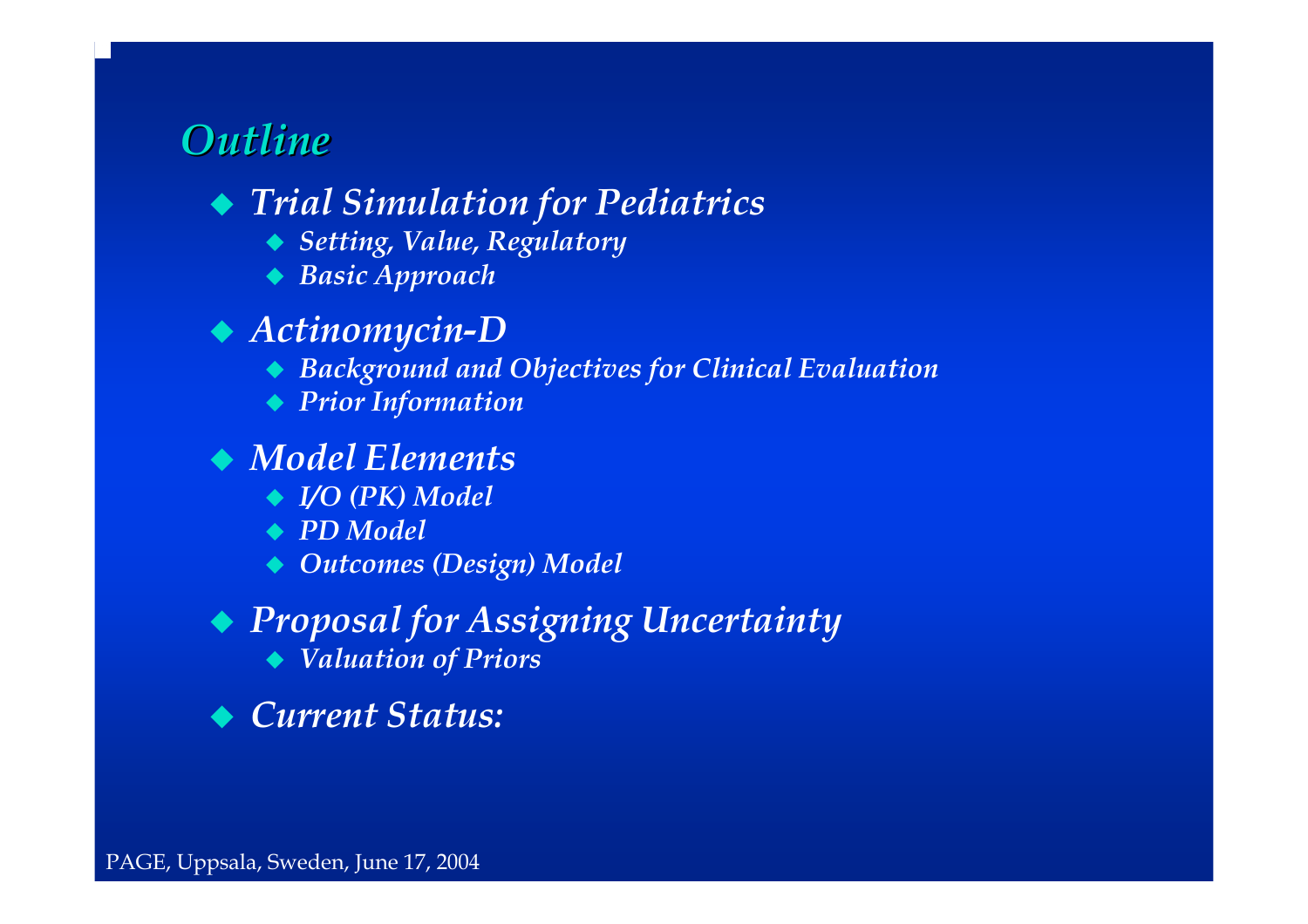## *Outline Outline*

### *Trial Simulation for Pediatrics*

- *Setting, Value, Regulatory*
- *Basic Approach*

#### *Actinomycin-D*

- *Background and Objectives for Clinical Evaluation*
- *Prior Information*

#### *Model Elements*

- *I/O (PK) Model*
- *PD Model*
- *Outcomes (Design) Model*

# *Proposal for Assigning Uncertainty*

- *Valuation of Priors*
- *Current Status:*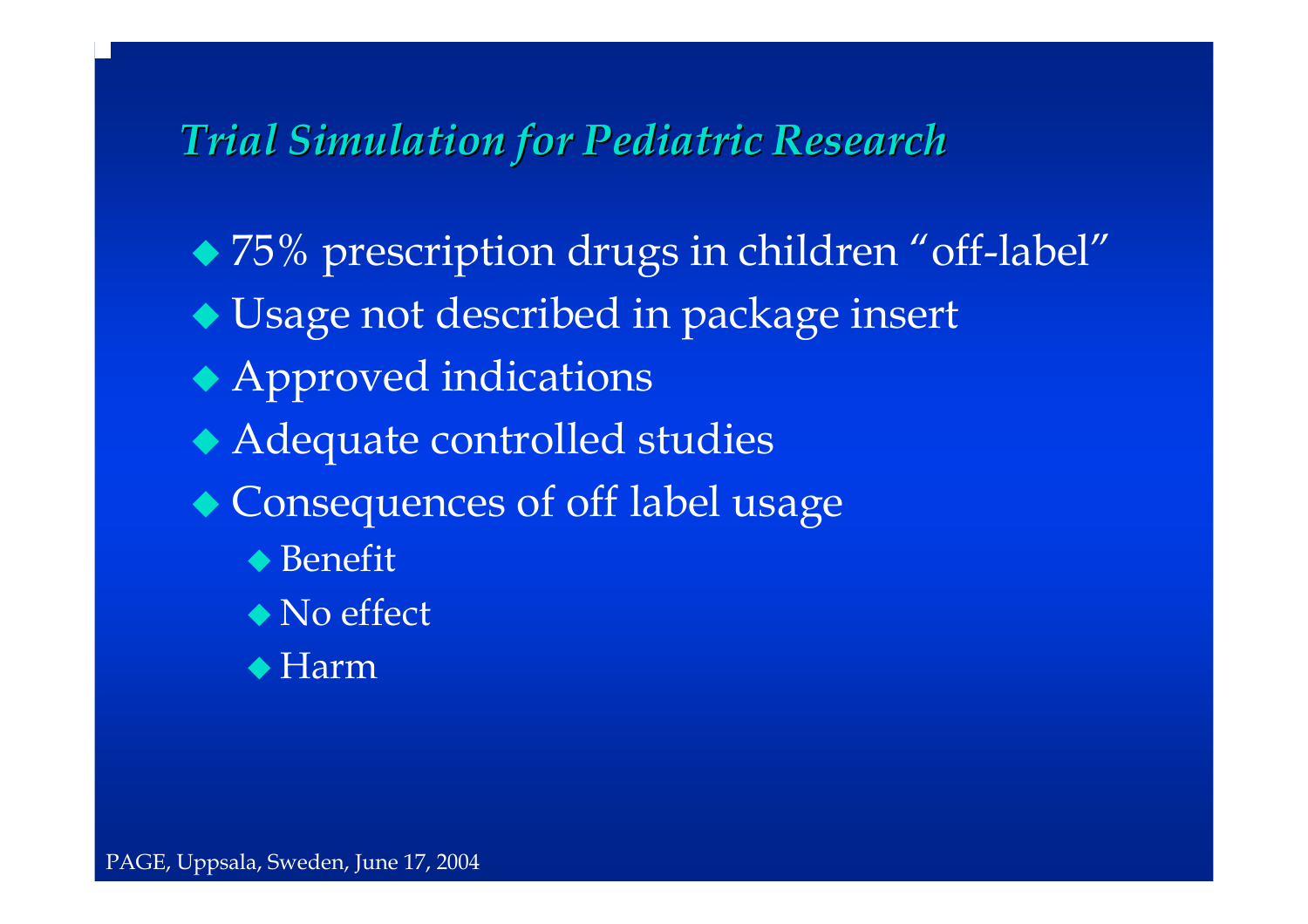# *Trial Simulation for Pediatric Research Trial Simulation for Pediatric Research*

- ◆ 75% prescription drugs in children "off-label" Usage not described in package insert
- Approved indications
- Adequate controlled studies
- Consequences of off label usage
	- ◆ Benefit
	- ◆ No effect
	- ◆ Harm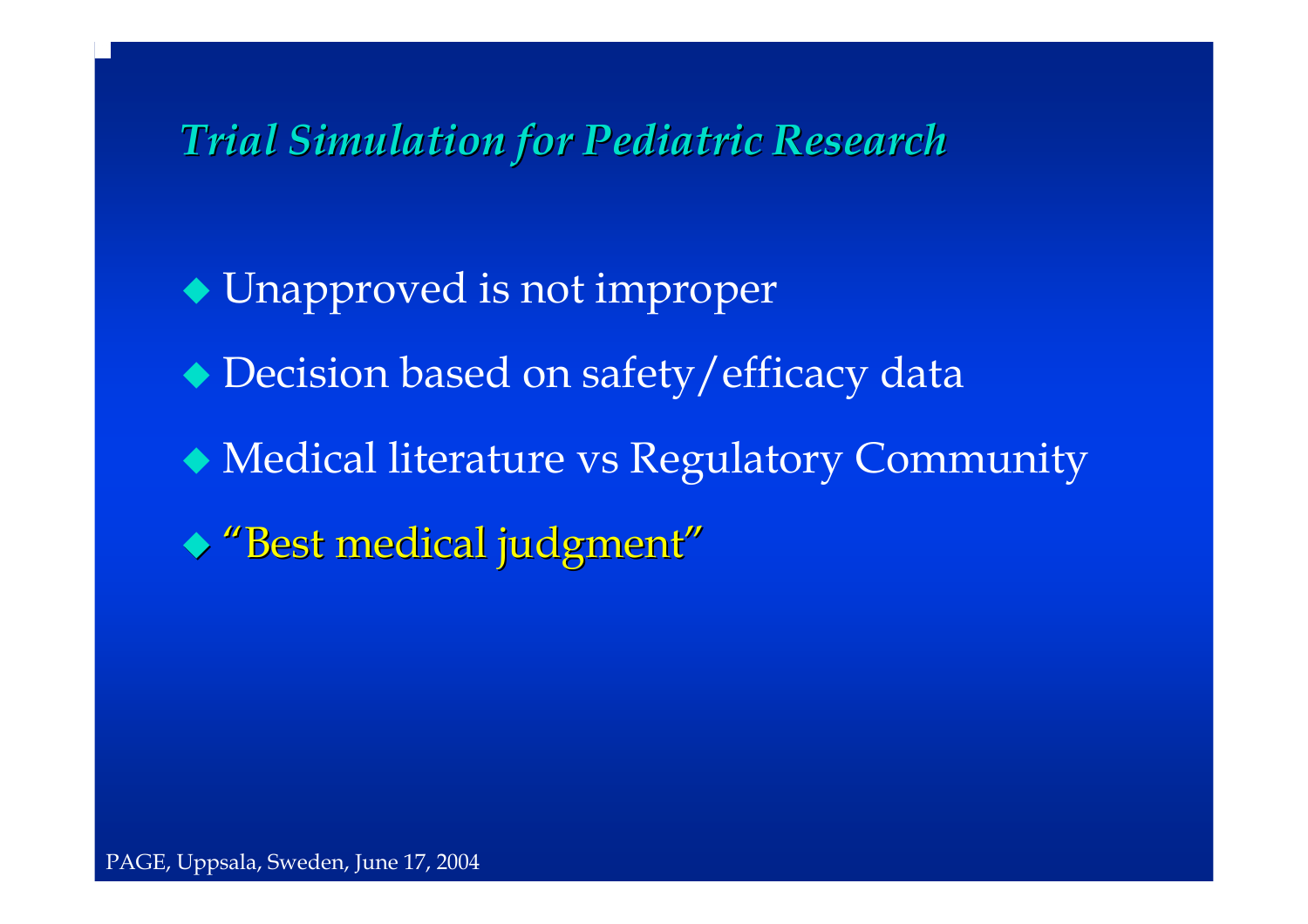# *Trial Simulation for Pediatric Research Trial Simulation for Pediatric Research*

- Unapproved is not improper Decision based on safety/efficacy data
- Medical literature vs R egulatory Community
- $\blacklozenge$  "Best medical judgment"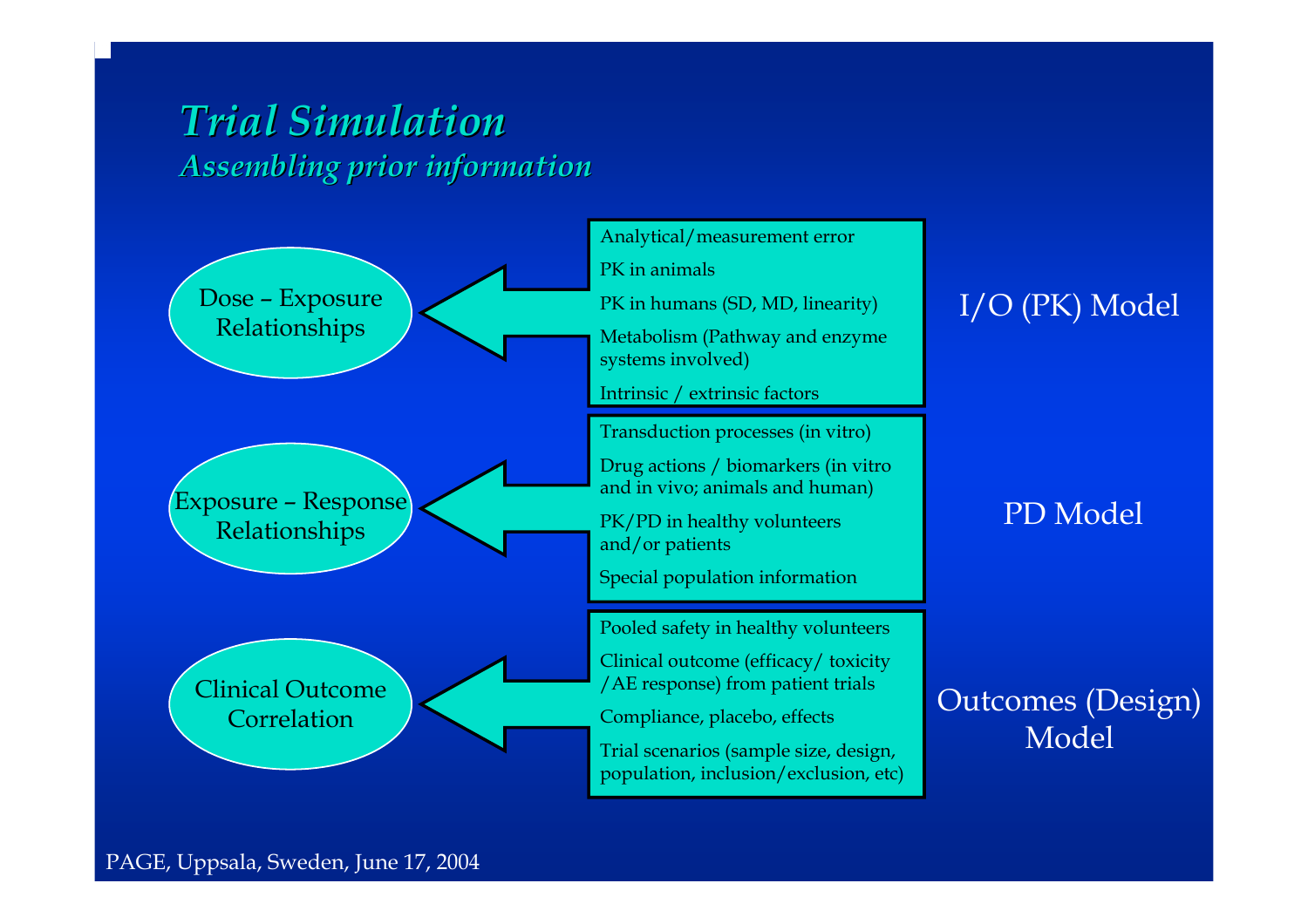## *Trial Simulation Trial SimulationAssembling prior information Assembling prior information*

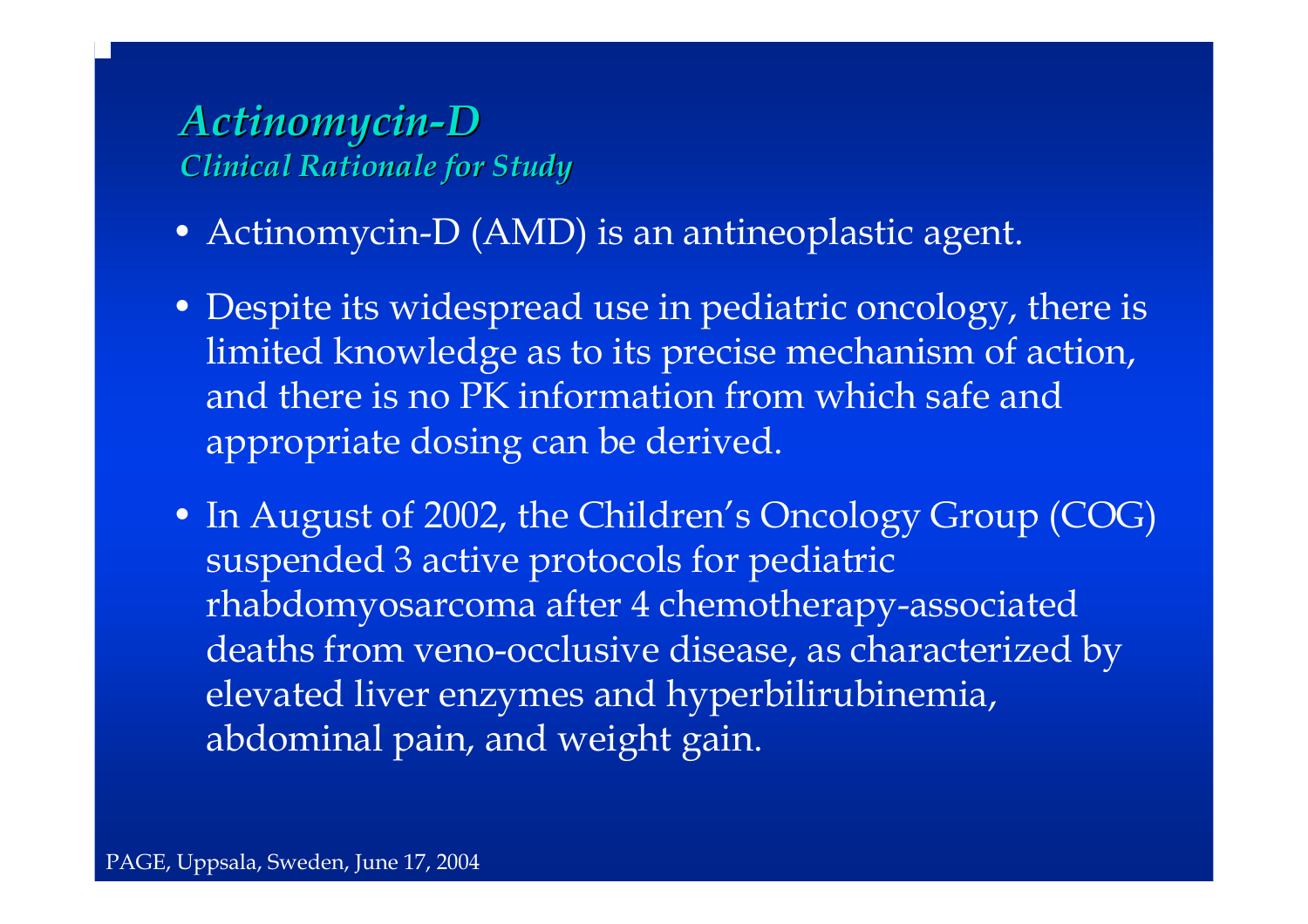### *Actinomycin Actinomycin-D Clinical Rationale for Study Clinical Rationale for Study*

- Actinomycin-D (AMD) is an antineoplastic agent.
- Despite its widespread use in pediatric oncology, there is limited knowledge as to its precise mechanism of action, and there is no PK information from which safe and appropriate dosing can be derived.
- In August of 2002, the Children's Oncology Group (COG) suspended 3 active protocols for pediatric rhabdomyosarcoma after 4 chemotherapy-associated deaths from veno-occlusive disease, as characterized by elevated liver enzymes and hyperbilirubinemia, abdominal pain, and weight gain.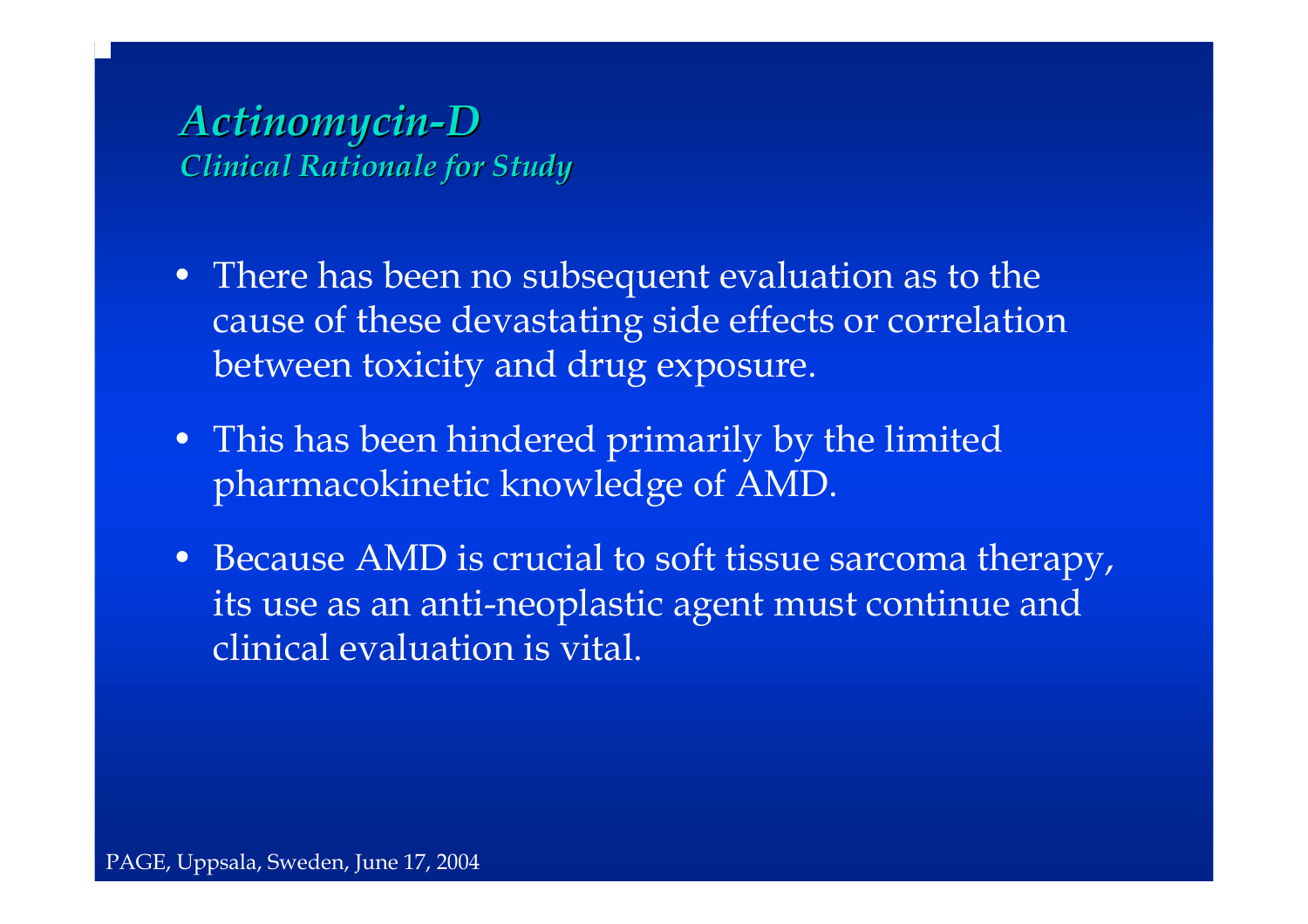### *Actinomycin Actinomycin-D Clinical Rationale for Study Clinical Rationale for Study*

- There has been no subsequent evaluation as to the cause of these devastating side effects or correlation between toxicity and drug exposure.
- This has been hindered primarily by the limited pharmacokinetic knowledge of AMD.
- Because AMD is crucial to soft tissue sarcoma therapy, its use as an anti-neoplastic agent must continue and clinical evaluation is vital.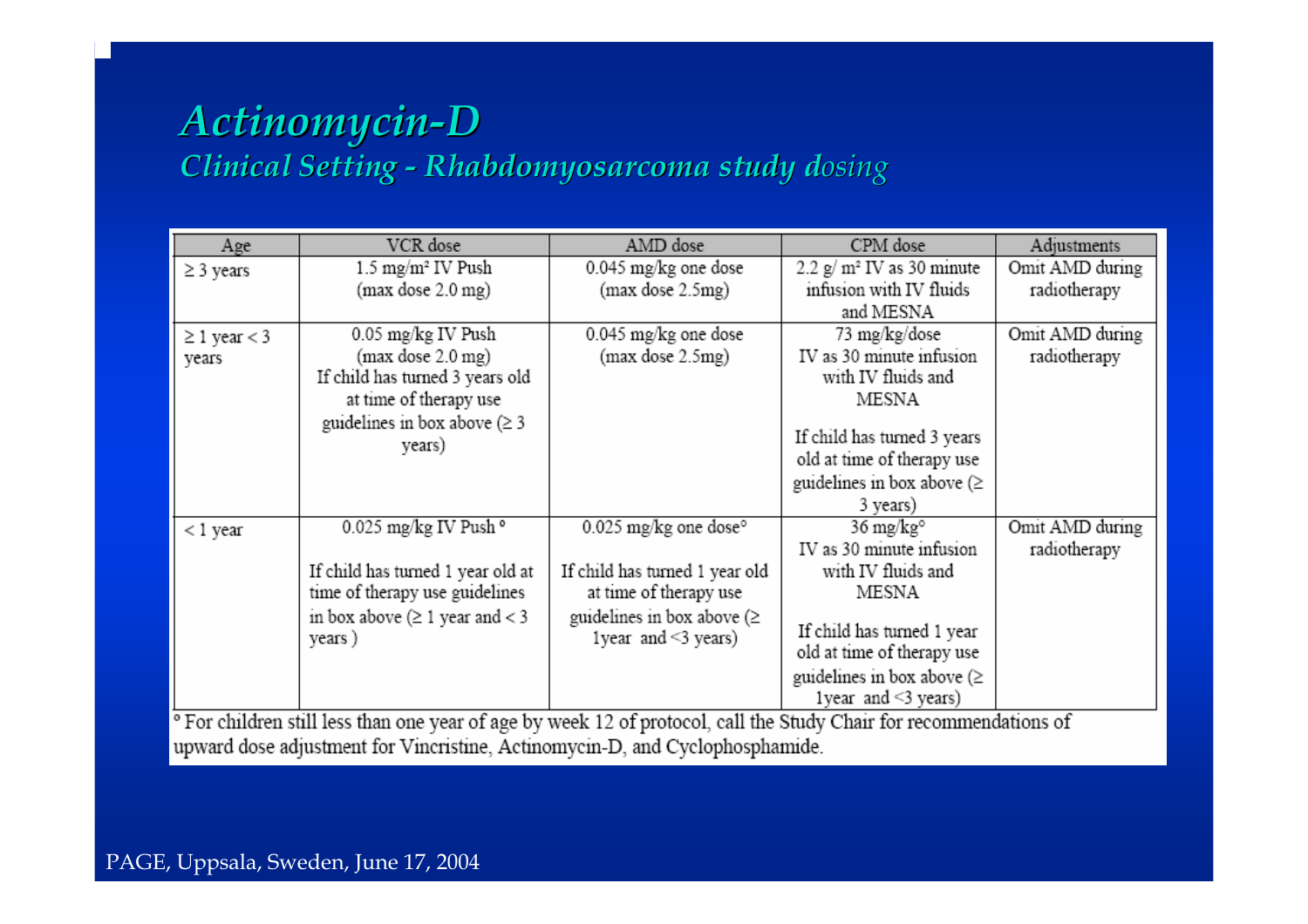#### *Actinomycin Actinomycin-D Clinical Setting Clinical Setting -Rhabdomyosarcoma Rhabdomyosarcoma study d study dosing*

| Age                 | VCR dose                                                                                                                      | AMD dose                            | CPM dose                               | Adjustments     |
|---------------------|-------------------------------------------------------------------------------------------------------------------------------|-------------------------------------|----------------------------------------|-----------------|
| $\geq$ 3 years      | 1.5 mg/m <sup>2</sup> IV Push                                                                                                 | 0.045 mg/kg one dose                | $2.2$ g/m <sup>2</sup> IV as 30 minute | Omit AMD during |
|                     | (max dose 2.0 mg)                                                                                                             | (max dose 2.5mg)                    | infusion with IV fluids                | radiotherapy    |
|                     |                                                                                                                               |                                     | and MESNA                              |                 |
| $\geq 1$ year $<$ 3 | 0.05 mg/kg IV Push                                                                                                            | 0.045 mg/kg one dose                | 73 mg/kg/dose                          | Omit AMD during |
| years               | (max dose 2.0 mg)                                                                                                             | (max dose 2.5mg)                    | IV as 30 minute infusion               | radiotherapy    |
|                     | If child has turned 3 years old                                                                                               |                                     | with IV fluids and                     |                 |
|                     | at time of therapy use                                                                                                        |                                     | MESNA                                  |                 |
|                     | guidelines in box above $( \geq 3$                                                                                            |                                     |                                        |                 |
|                     | years)                                                                                                                        |                                     | If child has turned 3 years            |                 |
|                     |                                                                                                                               |                                     | old at time of therapy use             |                 |
|                     |                                                                                                                               |                                     | guidelines in box above ( $\geq$       |                 |
|                     |                                                                                                                               |                                     | 3 years)                               |                 |
| < 1 year            | $0.025$ mg/kg IV Push $^{\circ}$                                                                                              | $0.025$ mg/kg one dose <sup>o</sup> | 36 mg/kg°                              | Omit AMD during |
|                     |                                                                                                                               |                                     | IV as 30 minute infusion               | radiotherapy    |
|                     | If child has turned 1 year old at                                                                                             | If child has turned 1 year old      | with IV fluids and                     |                 |
|                     | time of therapy use guidelines                                                                                                | at time of therapy use              | MESNA                                  |                 |
|                     | in box above $( \geq 1$ year and < 3                                                                                          | guidelines in box above $(\geq$     |                                        |                 |
|                     | years)                                                                                                                        | 1 year and $\leq$ 3 years)          | If child has turned 1 year             |                 |
|                     |                                                                                                                               |                                     | old at time of therapy use             |                 |
|                     |                                                                                                                               |                                     | guidelines in box above ( $\geq$       |                 |
|                     | <sup>o</sup> For children still less than one year of age by week 12 of protocol, call the Study Chair for recommendations of |                                     | 1 year and $\leq$ 3 years)             |                 |

less than one year of age by week 12 of protocol, call the Study Chair ommenuations or upward dose adjustment for Vincristine, Actinomycin-D, and Cyclophosphamide.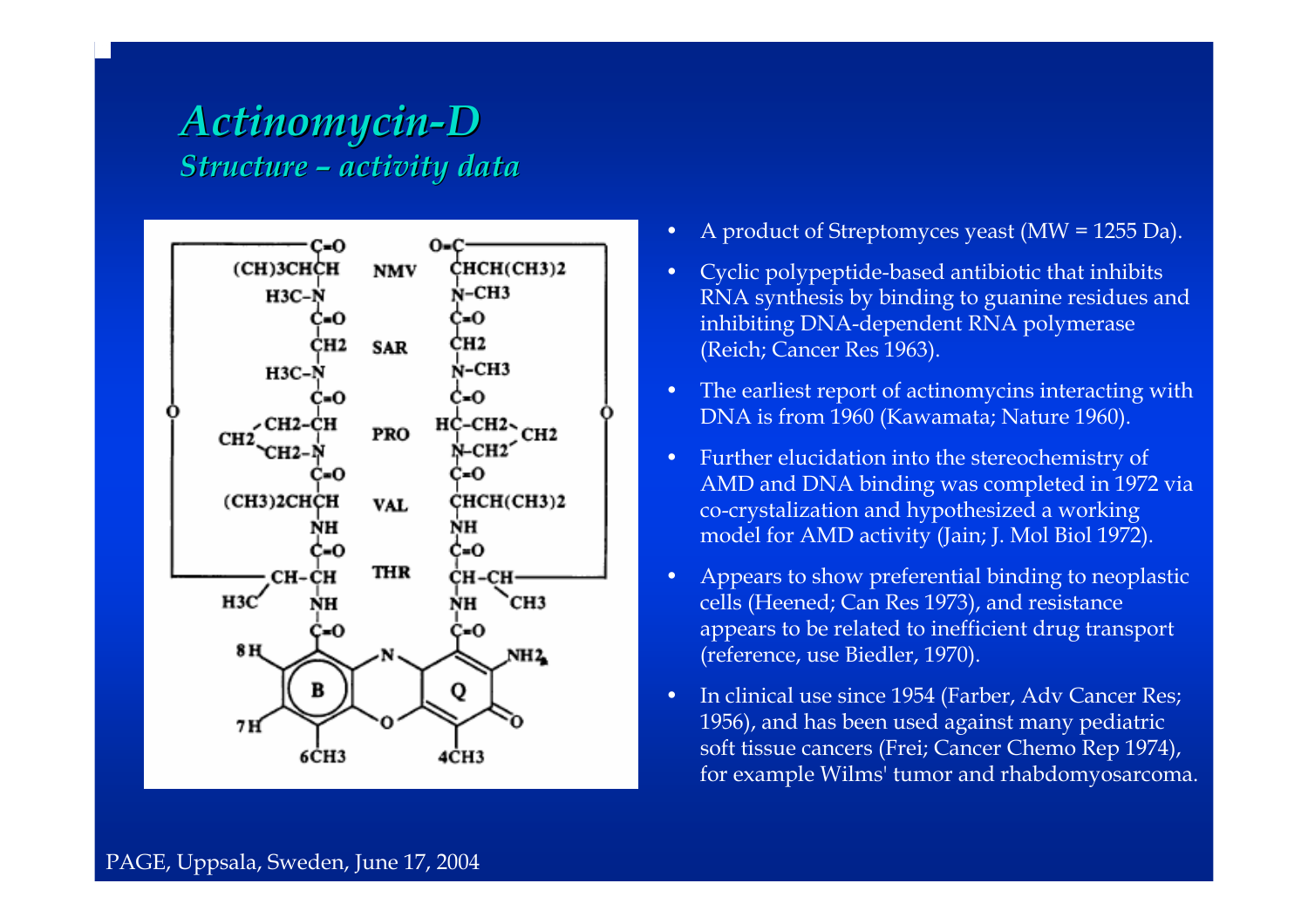#### *Actinomycin Actinomycin-D Structure Structure –activity data activity data*



- •A product of Streptomyces yeast (MW = 1255 Da).
- • Cyclic polypeptide-based antibiotic that inhibits RNA synthesis by binding to guanine residues and inhibiting DNA-dependent RNA polymerase (Reich; Cancer Res 1963).
- •• The earliest report of actinomycins interacting with DNA is from 1960 (Kawamata; Nature 1960).
- • Further elu cidation into the stereochemistry of AMD and DNA binding was completed in 1972 via co-crystalization and hypothesized a working model for AMD activity (Jain; J. Mol Biol 1972).
- • Appears to show p referential binding to neoplastic cells (Heened; Can Res 1973), and resistance appears to be related to inefficient drug transport (reference, use Biedler, 1970).
- • In clinical use since 1954 (Farber, Adv Cancer Res; 1956), and has been used against many pediatric soft tissue cancers (Frei; Cancer Chemo Rep 1974), for example Wilms' tumor a nd rhabd omyosarcoma.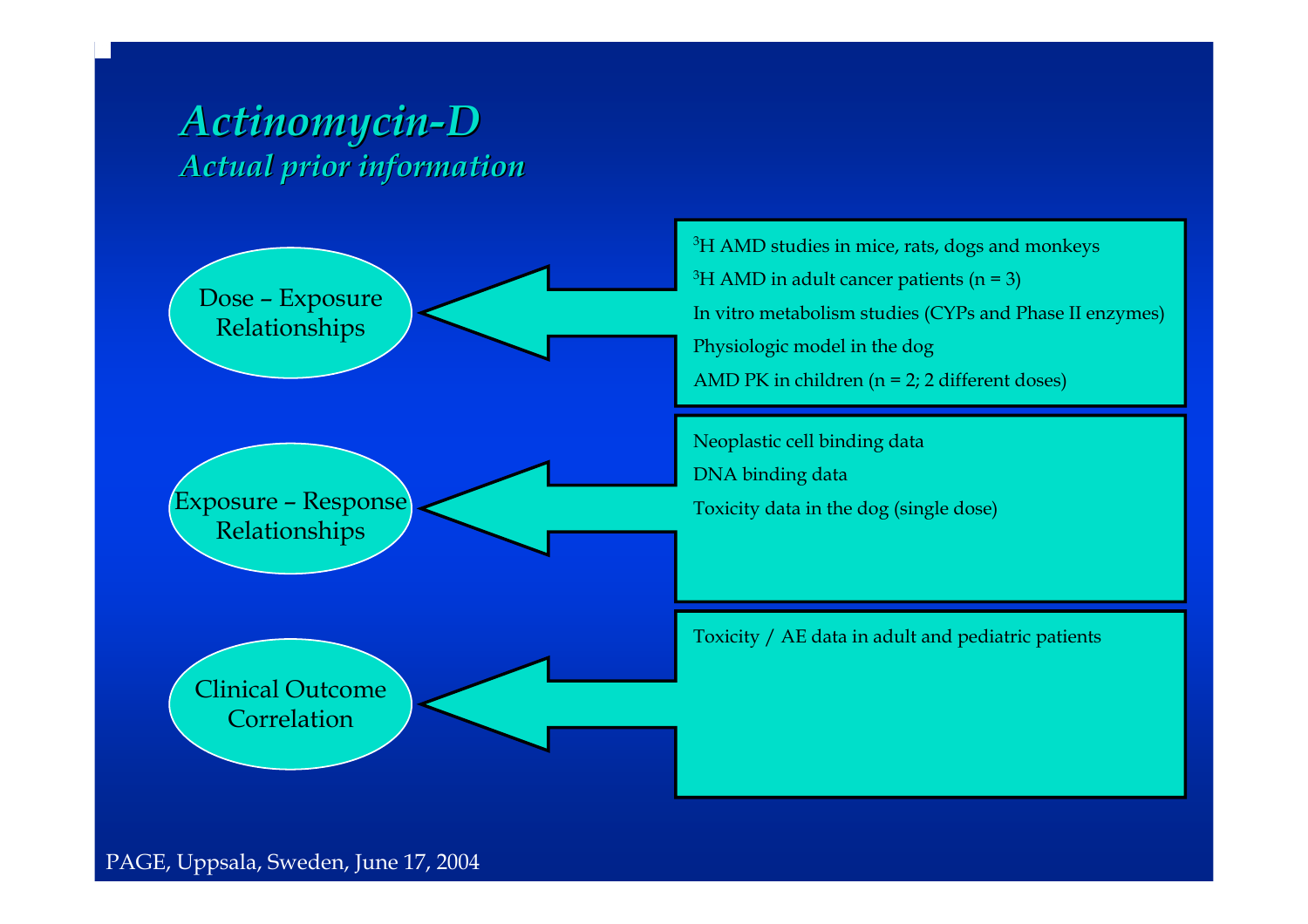### *Actinomycin Actinomycin-D Actual prior information Actual prior information*



<sup>3</sup>H AMD studies in mice, rats, dogs and monkeys  $3H$  AMD in adult cancer patients (n = 3) In vitro metabolism studies (CYPs and P hase II enzymes) Physiologic model in the dog AMD PK in c hildren ( n = 2; 2 different doses)

Neoplastic cell binding data DNA binding data Toxicity data in the dog (single d ose)

Toxicity / AE data i n adult and pediatric p atients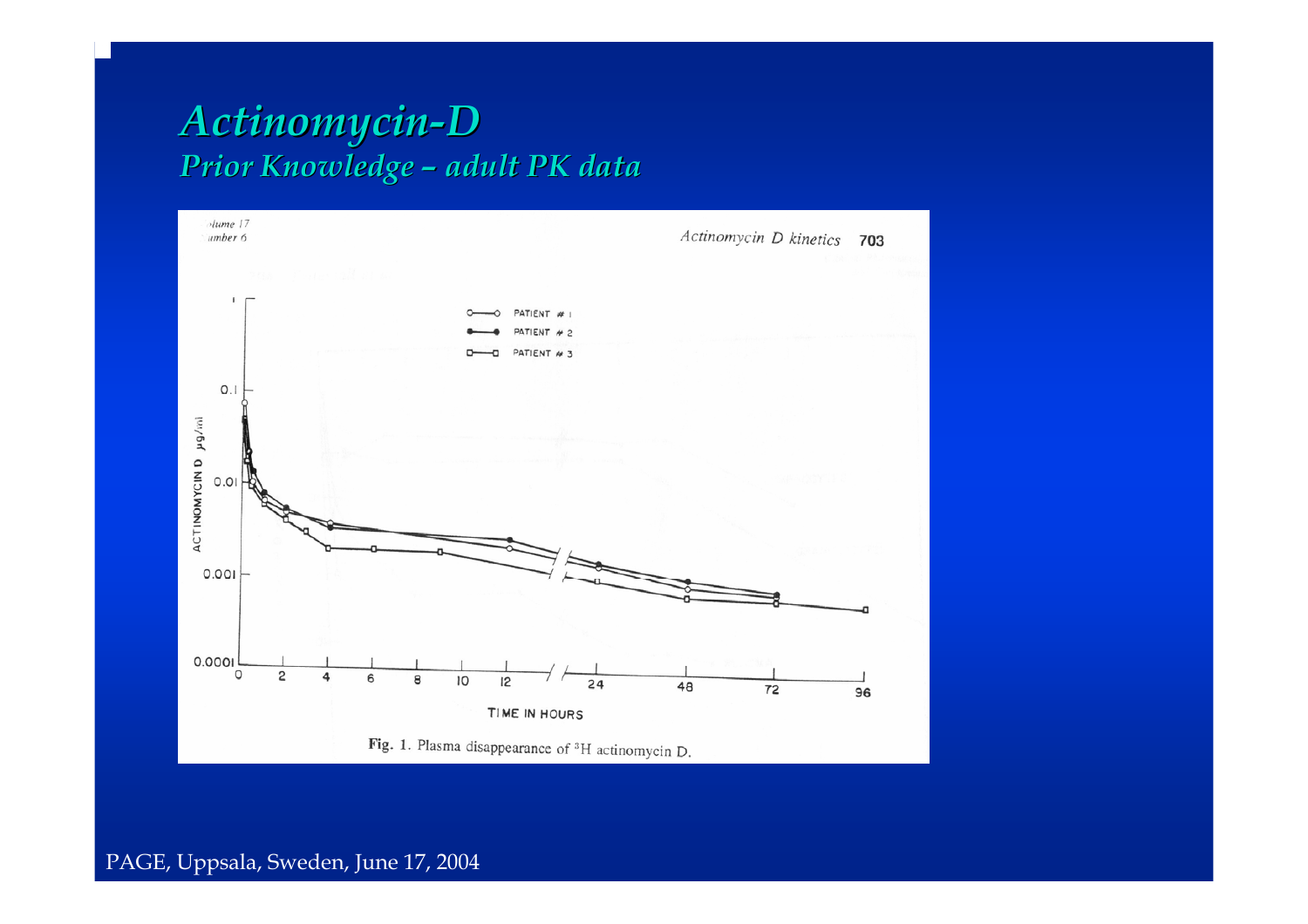#### *Actinomycin Actinomycin-D Prior Knowledge Prior Knowledge – adult PK data adult PK data*

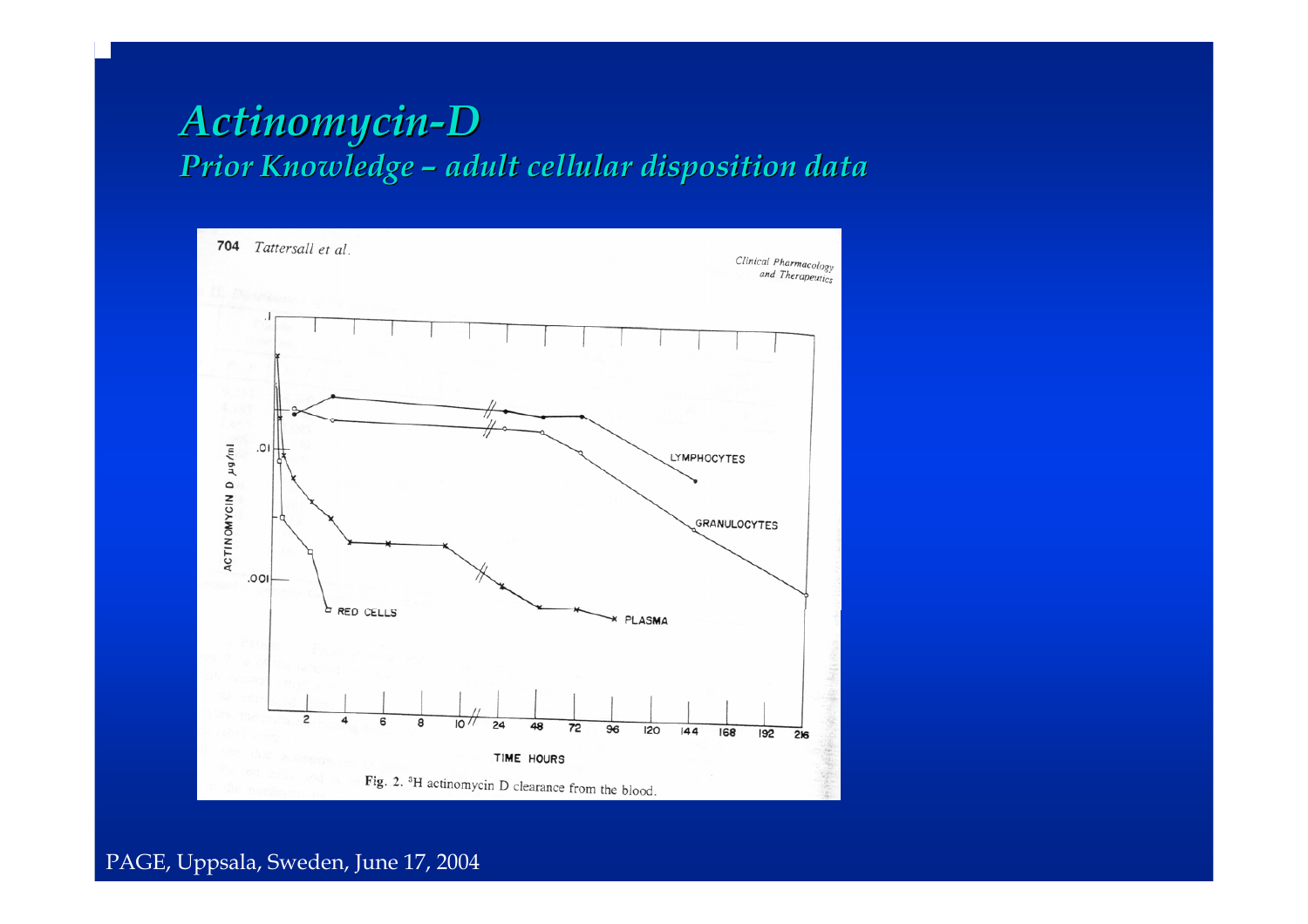#### *Actinomycin Actinomycin-D Prior Knowledge Prior Knowledge –adult cellular disposition data adult cellular disposition data*

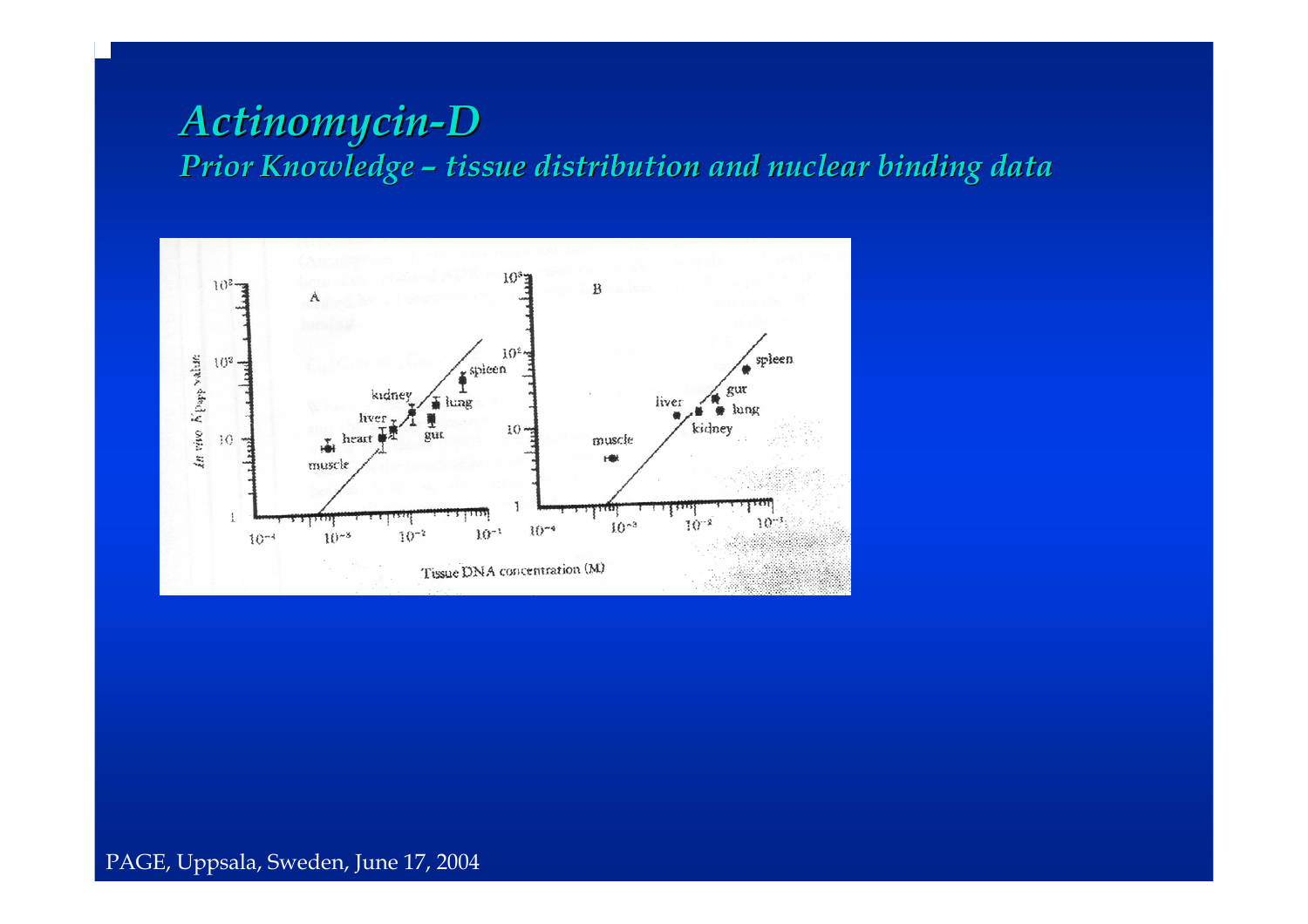#### *Actinomycin Actinomycin-D Prior Knowledge Prior Knowledge –tissue distribution and nuclear binding data tissue distribution and nuclear binding data*

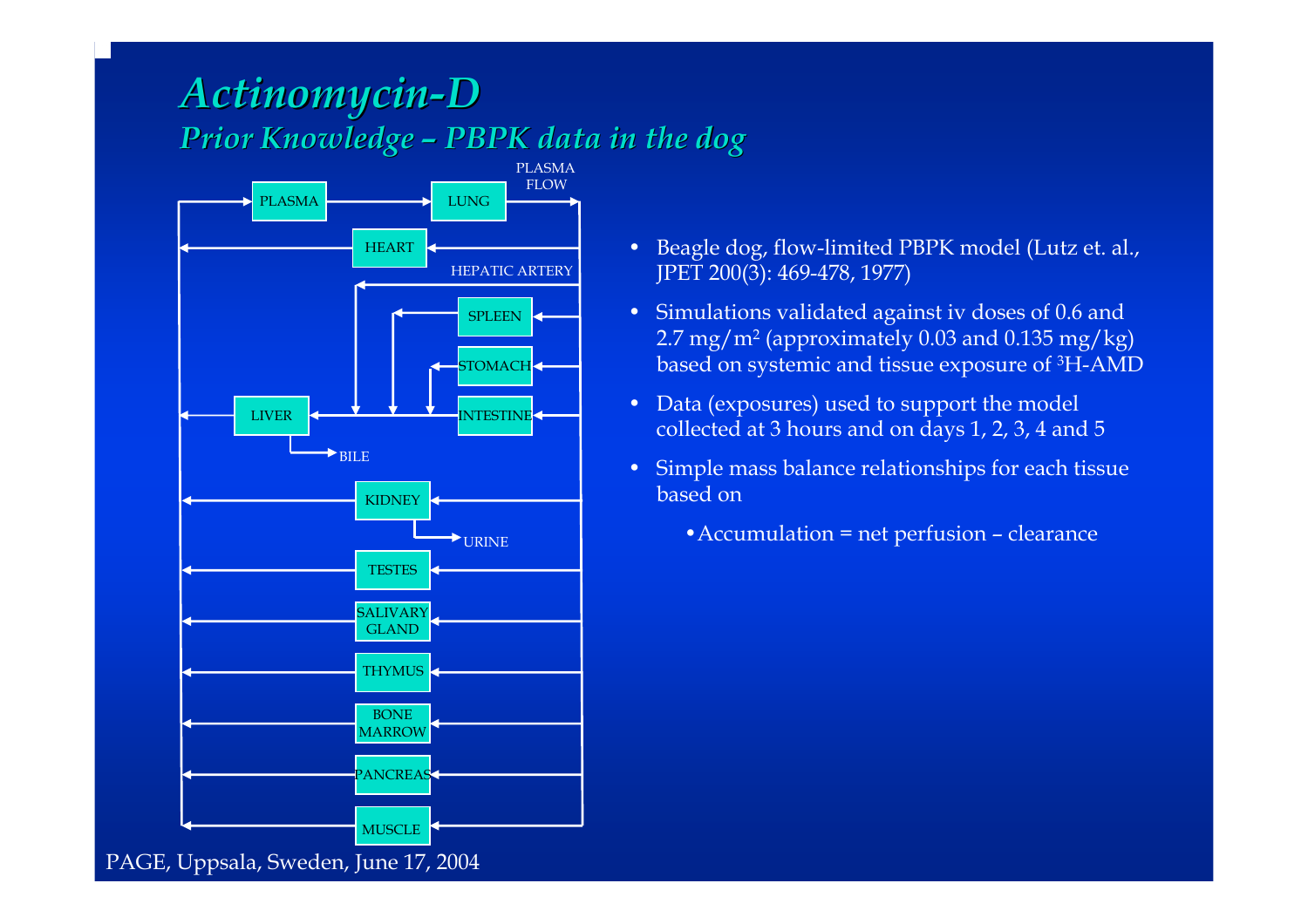#### *Actinomycin Actinomycin-D Prior Knowledge Prior Knowledge –PBPK data in the dog PBPK data in the dog*



- Beagle dog, flow-limited PBPK model (Lutz et. al., JPET 200(3): 469-478, 1977)
- Simulations validated against iv doses of 0.6 and 2.7 mg/m2 (app r oximately 0.03 and 0.135 mg/kg) based on systemic and tissue exposure of 3H-A M D
- Data (exposures) used to support the model collected at 3 hours and on d ays 1, 2, 3, 4 and 5
- Simple mass balance relationships for each tissue based on
	- •Accumulation = net perfusion clearance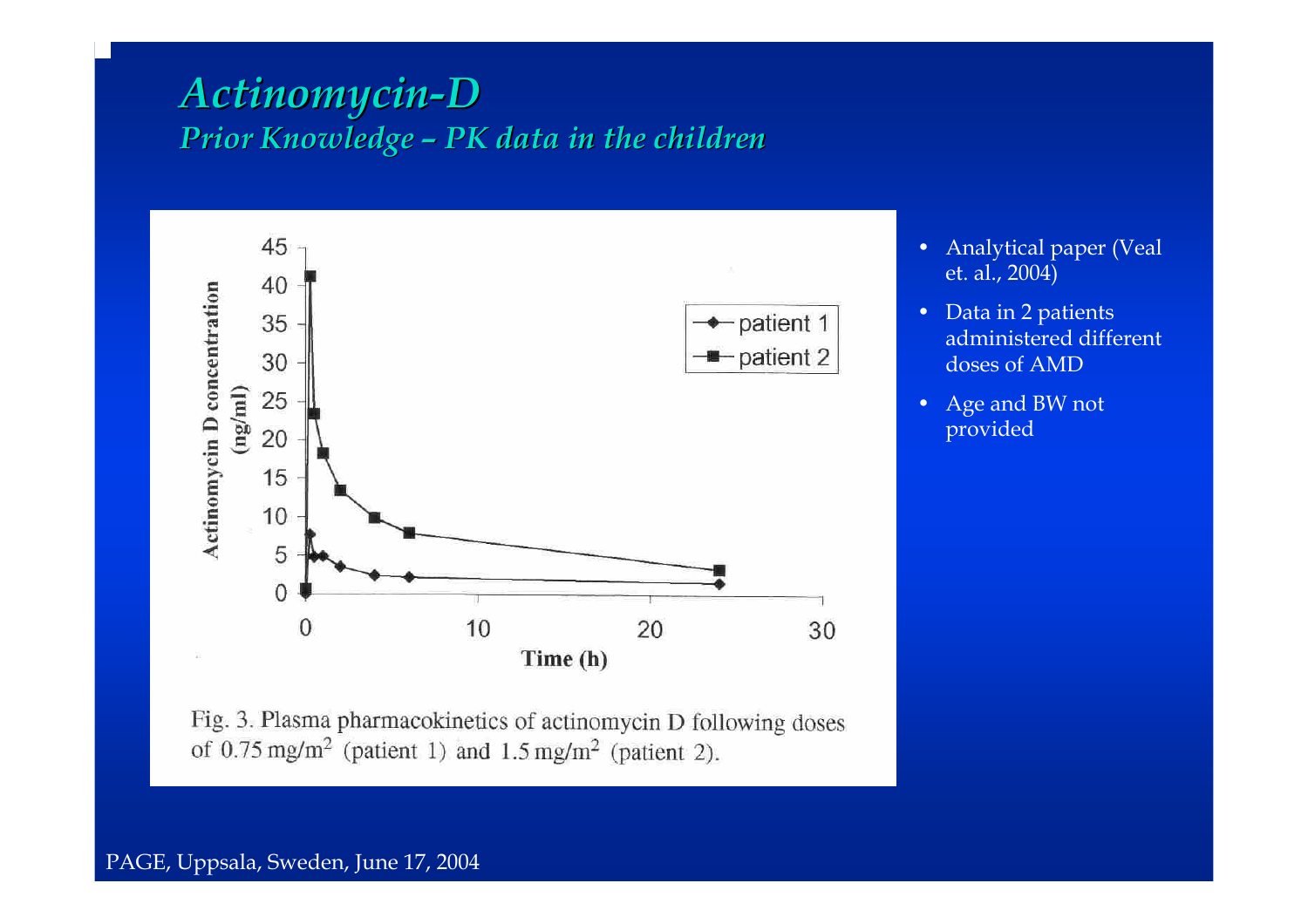#### *Actinomycin Actinomycin-D Prior Knowledge Prior Knowledge – PK data in the children PK data in the children*



- $\bullet$  Analytical paper (Veal et. al., 2004)
- •Data in 2 patients administered different doses of AMD
- • Age and BW not provided

Fig. 3. Plasma pharmacokinetics of actinomycin D following doses of  $0.75 \text{ mg/m}^2$  (patient 1) and  $1.5 \text{ mg/m}^2$  (patient 2).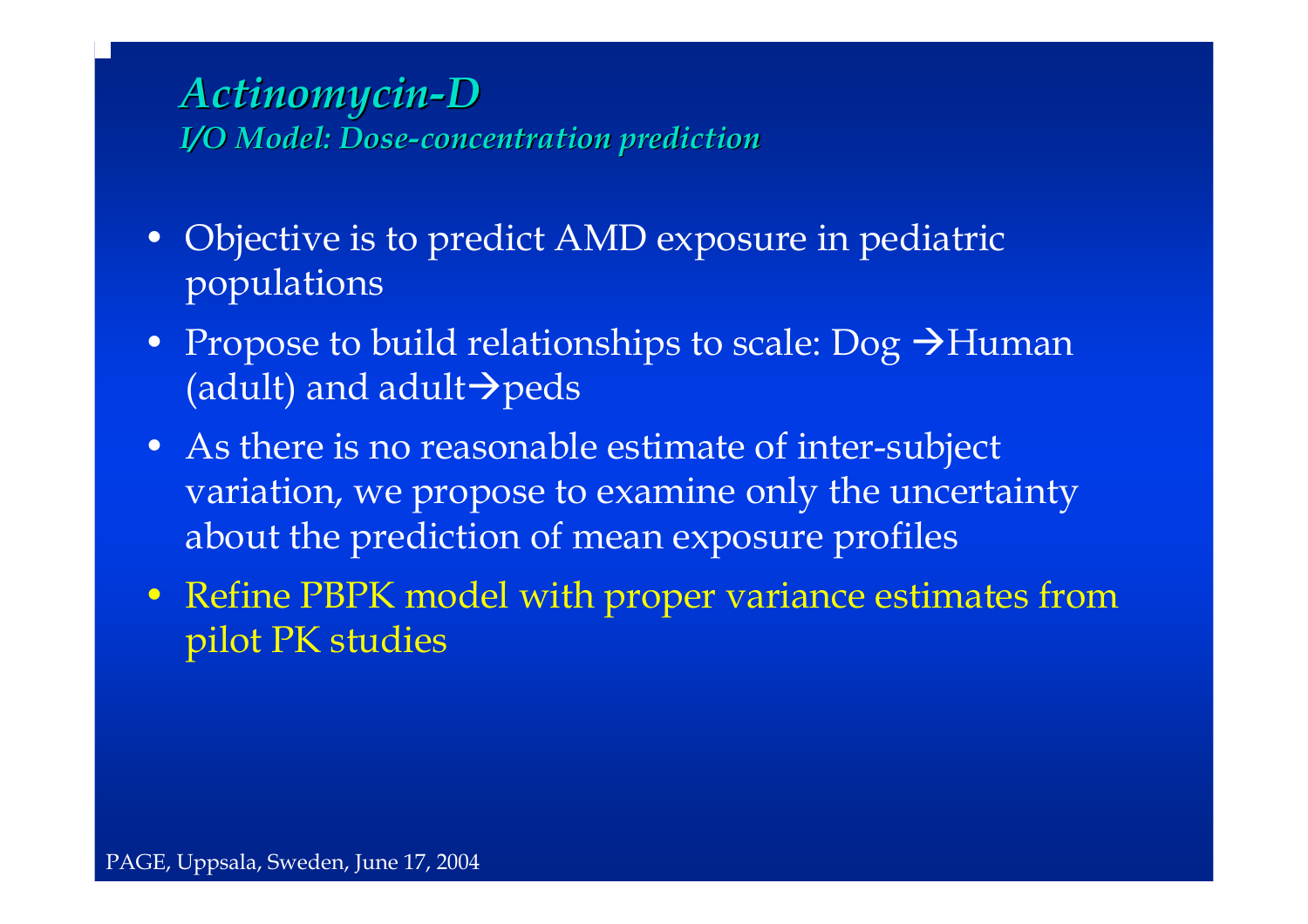### *Actinomycin Actinomycin-D I/O Model: Dose I/O Model: Dose-concentration prediction concentration prediction*

- Objective is to predict AMD exposure in pediatric populations
- Propose to build relationships to scale: Dog  $\rightarrow$ Human (adult) and adult $\rightarrow$ peds
- As there is no reasonable estimate of inter-subject variation, we propose to examine only the uncertainty about the prediction of mean exposure profiles
- Refine PBPK model with proper variance estimates from pilot PK studies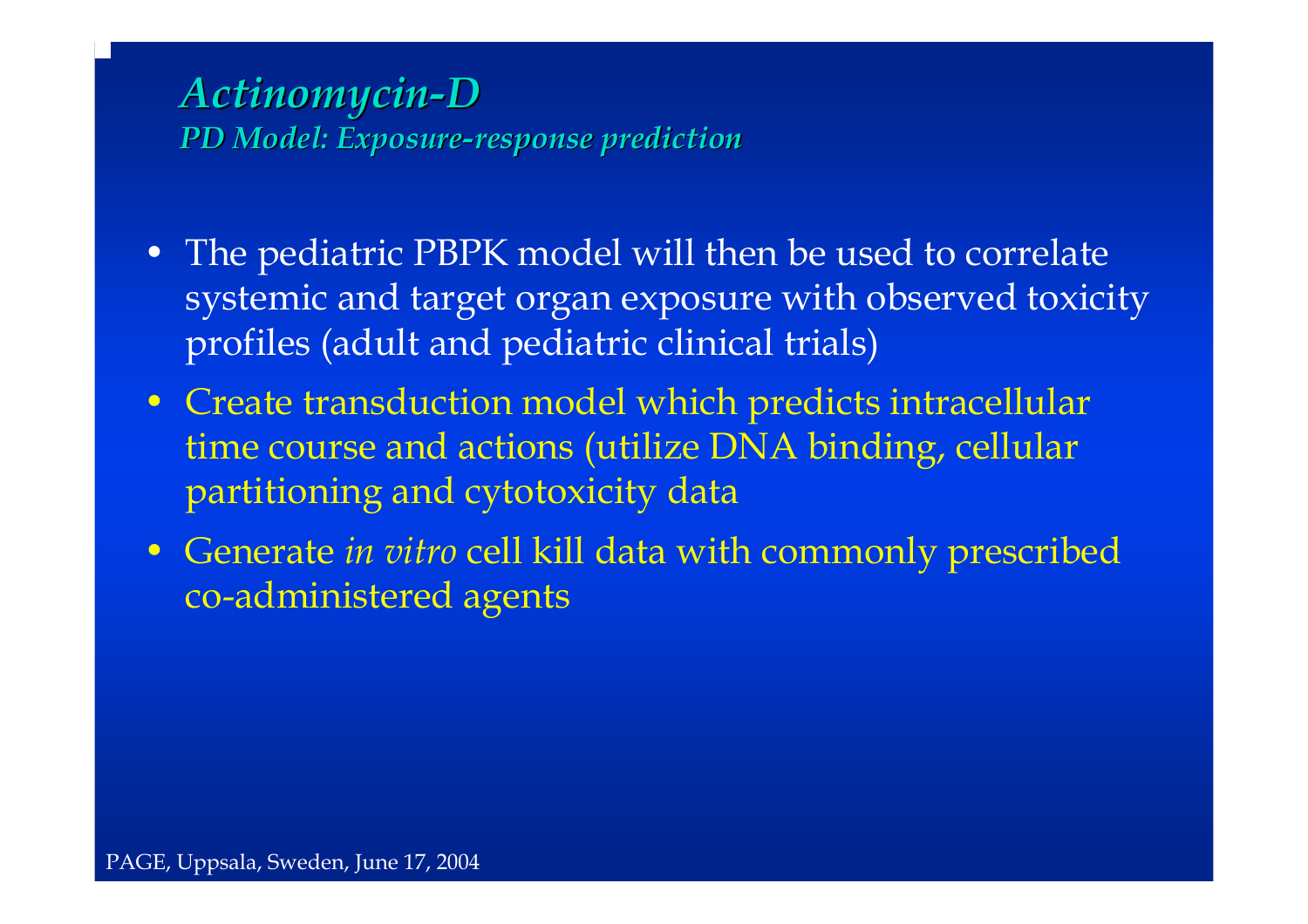### *Actinomycin Actinomycin-D PD Model: Exposure PD Model: Exposure-response prediction response prediction*

- The pediatric PBPK model will then be used to correlate systemic and target organ exposure with observed toxicity profiles (adult and pediatric clinical trials)
- Create transduction model which predicts intracellular time course and actions (utilize DNA binding, cellular partitioning and cytotoxicity data
- Generate *in vitro* cell kill data with commonly prescribed co-administered agents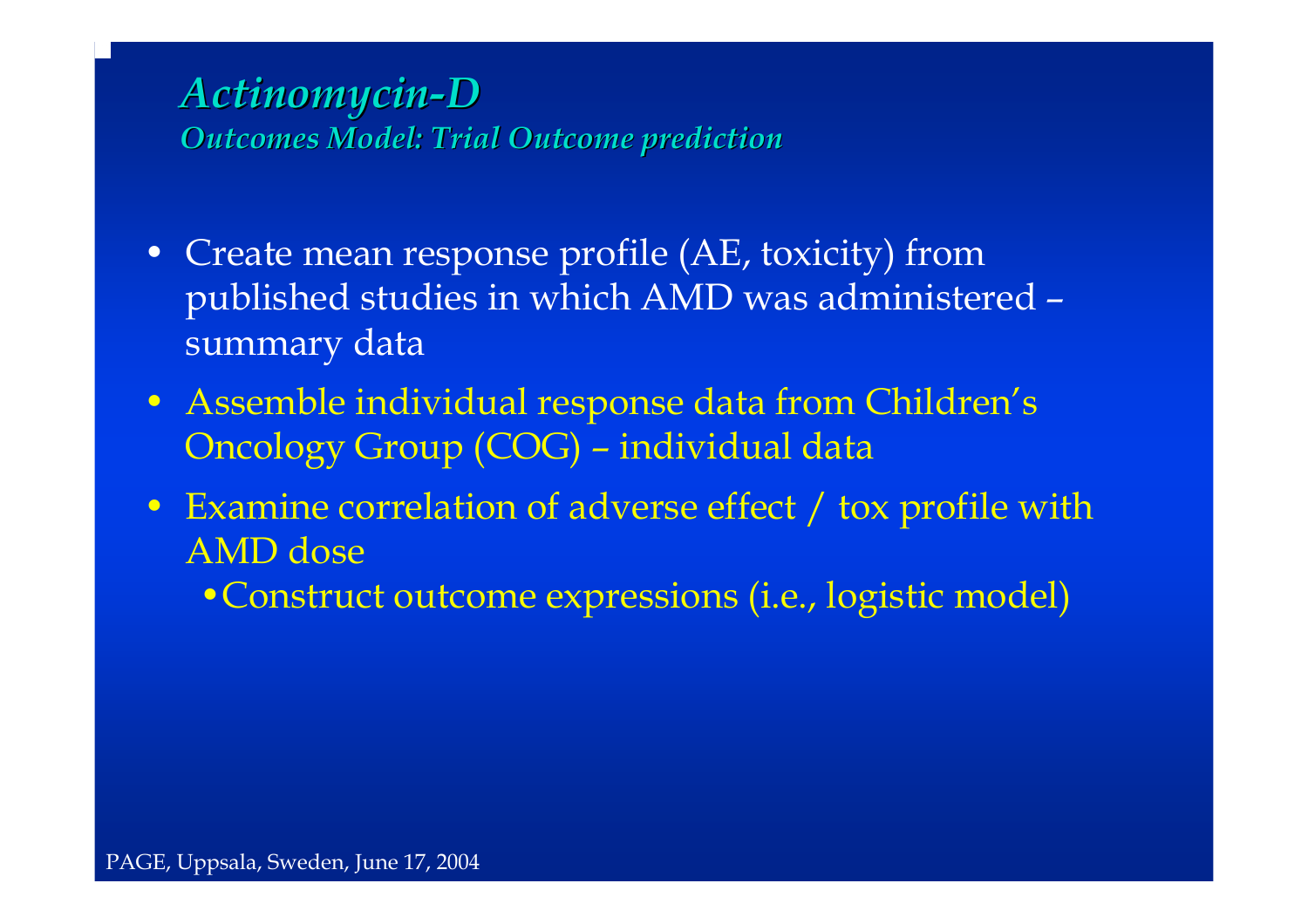### *Actinomycin Actinomycin-D Outcomes Model: Trial Outcome prediction Outcomes Model: Trial Outcome prediction*

- Create mean response profile (AE, toxicity) from published studies in which AMD was administered – summary data
- Assemble individual response data from Children's Oncology Group (COG) – individual data
- Examine correlation of adverse effect / tox profile with AMD dose
	- •Construct outcome expressions (i.e., logistic model)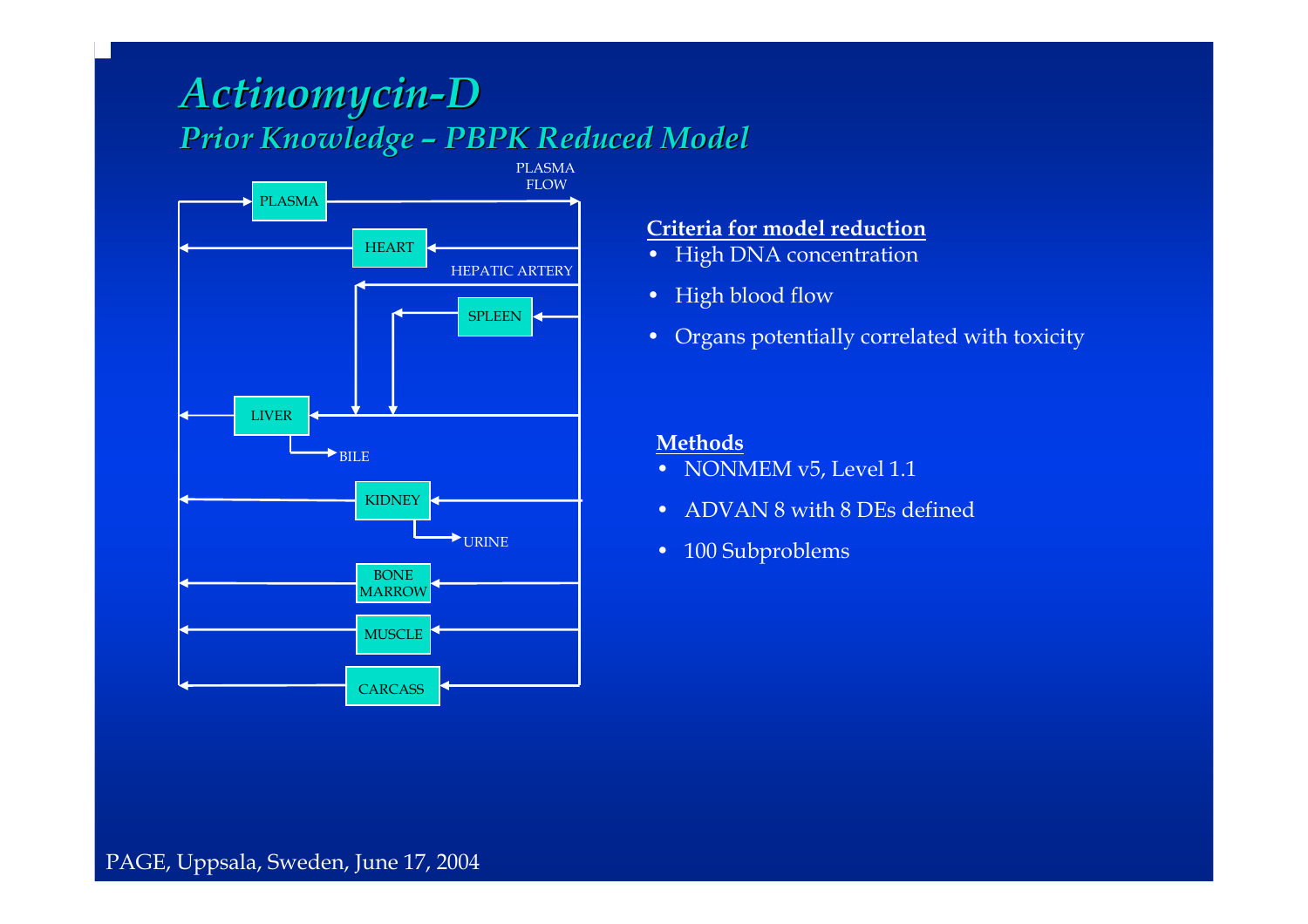#### *Actinomycin Actinomycin-D Prior Knowledge Prior Knowledge – PBPK Reduced Model PBPK Reduced Model*



#### **Criteria for model reduction**

- High DNA concentration
- High blood flow
- Organs potentially correlated with toxicity

#### **Methods**

- NONMEM v5, Level 1.1
- ADVAN 8 with 8 DEs defined
- 100 Subproblems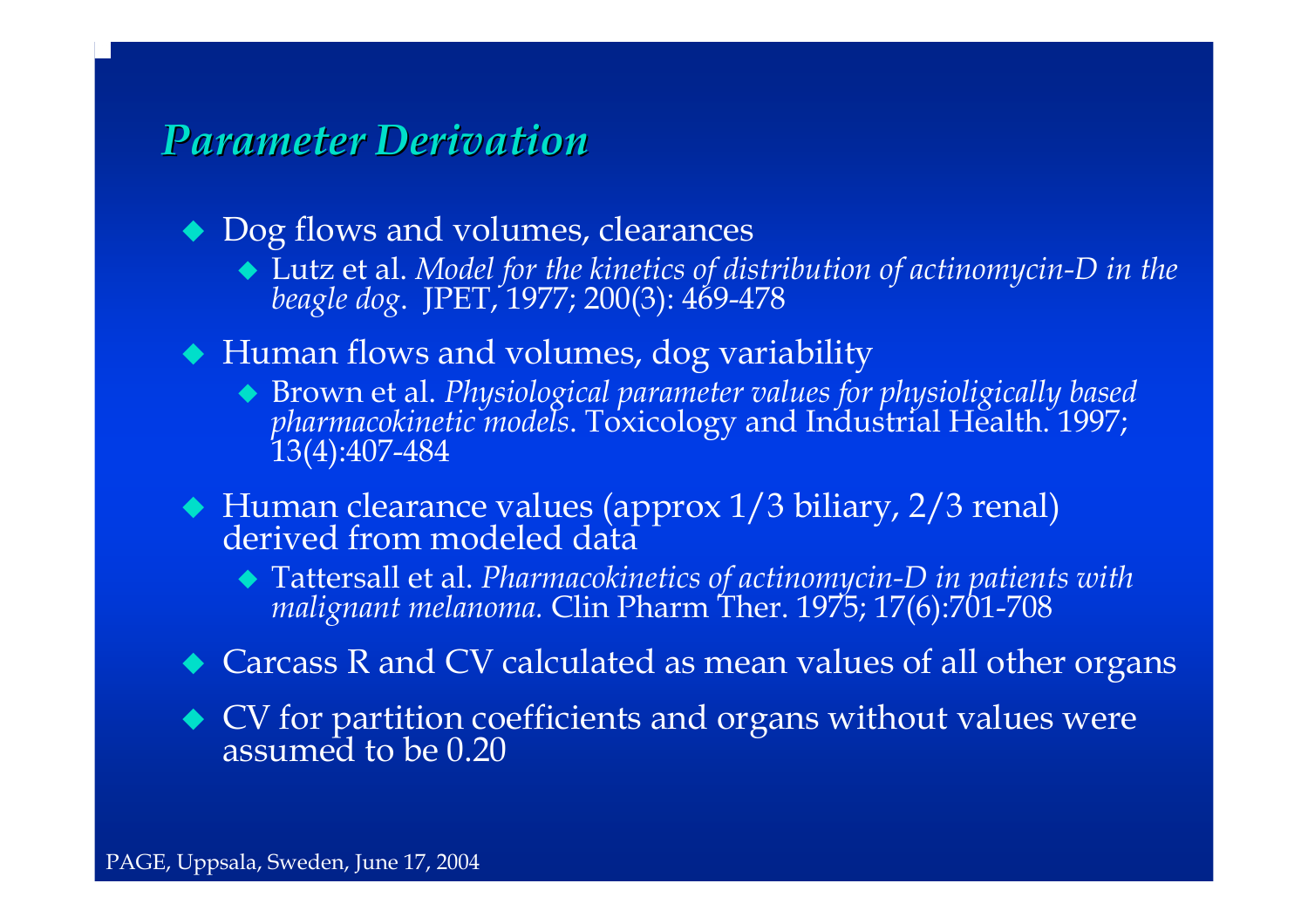### *Parameter Derivation Parameter Derivation*

◆ Dog flows and volumes, clearances

- Lutz et al. *Model for the kinetics of distribution of actinomycin-D in the beagle dog*. JPET, 1977; 200(3): 469-478
- Human flows and volumes, dog variability
	- Brown et al. *Physiological parameter val ues for physioligically based pharmacokinetic models*. Toxicology and Industrial Health. 1997; 13(4):407-484
- ◆ Human clearance values (approx 1/3 biliary, 2/3 renal)<br>derived from modeled data derived from modeled data
	- Tattersall et al. *Pharmacokinetics of actinomycin-D in patients with malignant melanoma.* Clin Pharm malignant melanoma. Clin Pharm Ther. 1975; 17(6):701-708
- Carcass R and CV calculated as mean values of all other organs
- CV for partition coefficients and organs without values were assumed to be 0.20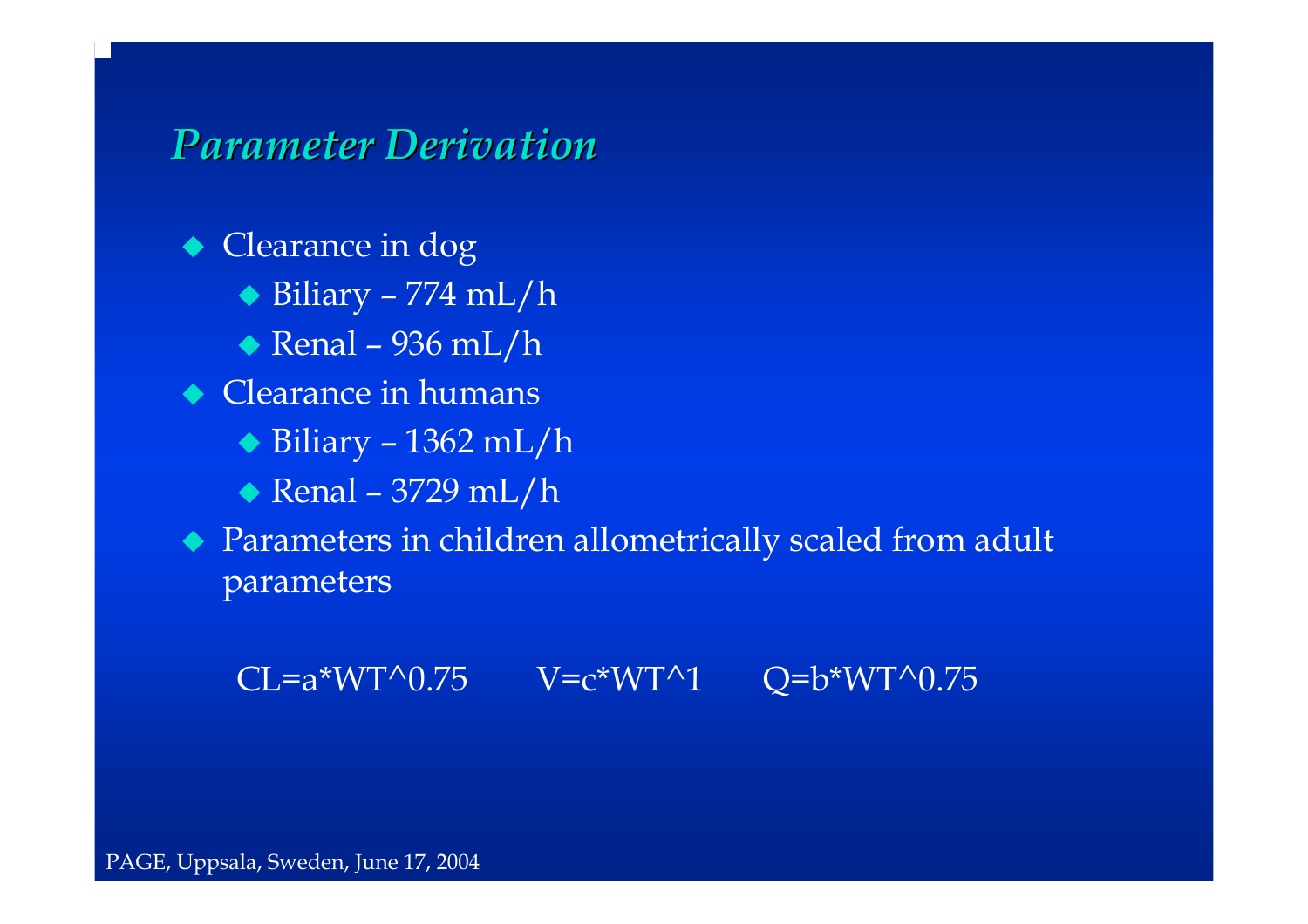*Parameter Derivation Parameter Derivation*

◆ Clearance in dog ◆ Biliary – 774 mL/h ◆ Renal – 936 mL/h • Clearance in humans ◆ Biliary – 1362 mL/h Renal – 3729 mL/h Parameters in children allometrically scaled from adult parameters

 $CL=a*WT^0.75$   $V=c*WT^1$   $Q=b*WT^0.75$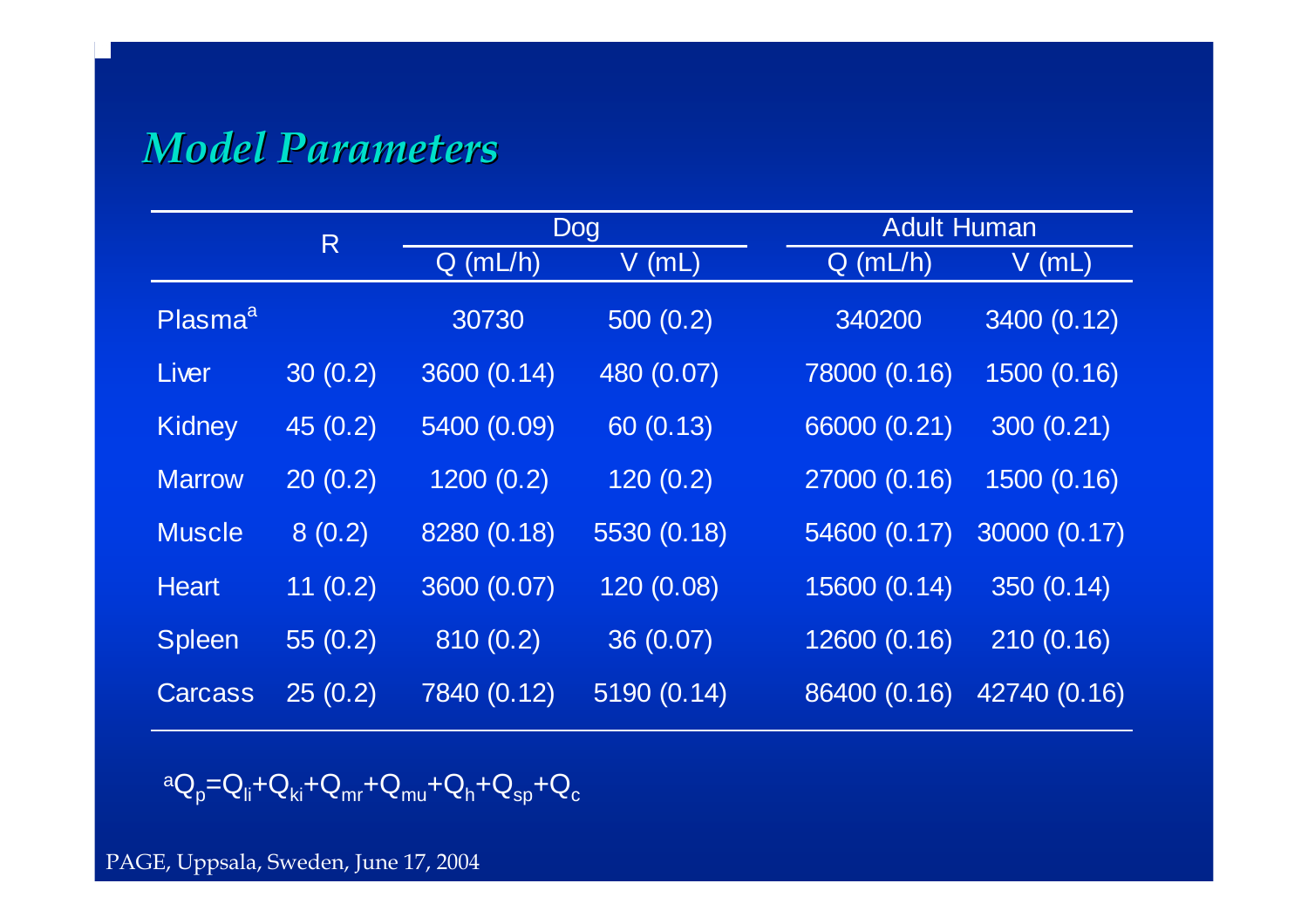# *Model Parameters Model Parameters*

|                     | R        | Dog         |             |              | <b>Adult Human</b> |  |  |
|---------------------|----------|-------------|-------------|--------------|--------------------|--|--|
|                     |          | $Q$ (mL/h)  | V (mL)      | $Q$ (mL/h)   | V (mL)             |  |  |
| Plasma <sup>a</sup> |          | 30730       | 500(0.2)    | 340200       | 3400 (0.12)        |  |  |
| Liver               | 30(0.2)  | 3600 (0.14) | 480 (0.07)  | 78000 (0.16) | 1500 (0.16)        |  |  |
| Kidney              | 45 (0.2) | 5400 (0.09) | 60 (0.13)   | 66000 (0.21) | 300 (0.21)         |  |  |
| <b>Marrow</b>       | 20(0.2)  | 1200(0.2)   | 120(0.2)    | 27000 (0.16) | 1500 (0.16)        |  |  |
| <b>Muscle</b>       | 8(0.2)   | 8280 (0.18) | 5530 (0.18) | 54600 (0.17) | 30000 (0.17)       |  |  |
| <b>Heart</b>        | 11(0.2)  | 3600 (0.07) | 120 (0.08)  | 15600 (0.14) | 350 (0.14)         |  |  |
| Spleen              | 55(0.2)  | 810(0.2)    | 36 (0.07)   | 12600 (0.16) | 210(0.16)          |  |  |
| Carcass             | 25(0.2)  | 7840 (0.12) | 5190 (0.14) | 86400 (0.16) | 42740 (0.16)       |  |  |

$$
{}^{a}Q_{p} = Q_{li} + Q_{ki} + Q_{mr} + Q_{mu} + Q_{h} + Q_{sp} + Q_{c}
$$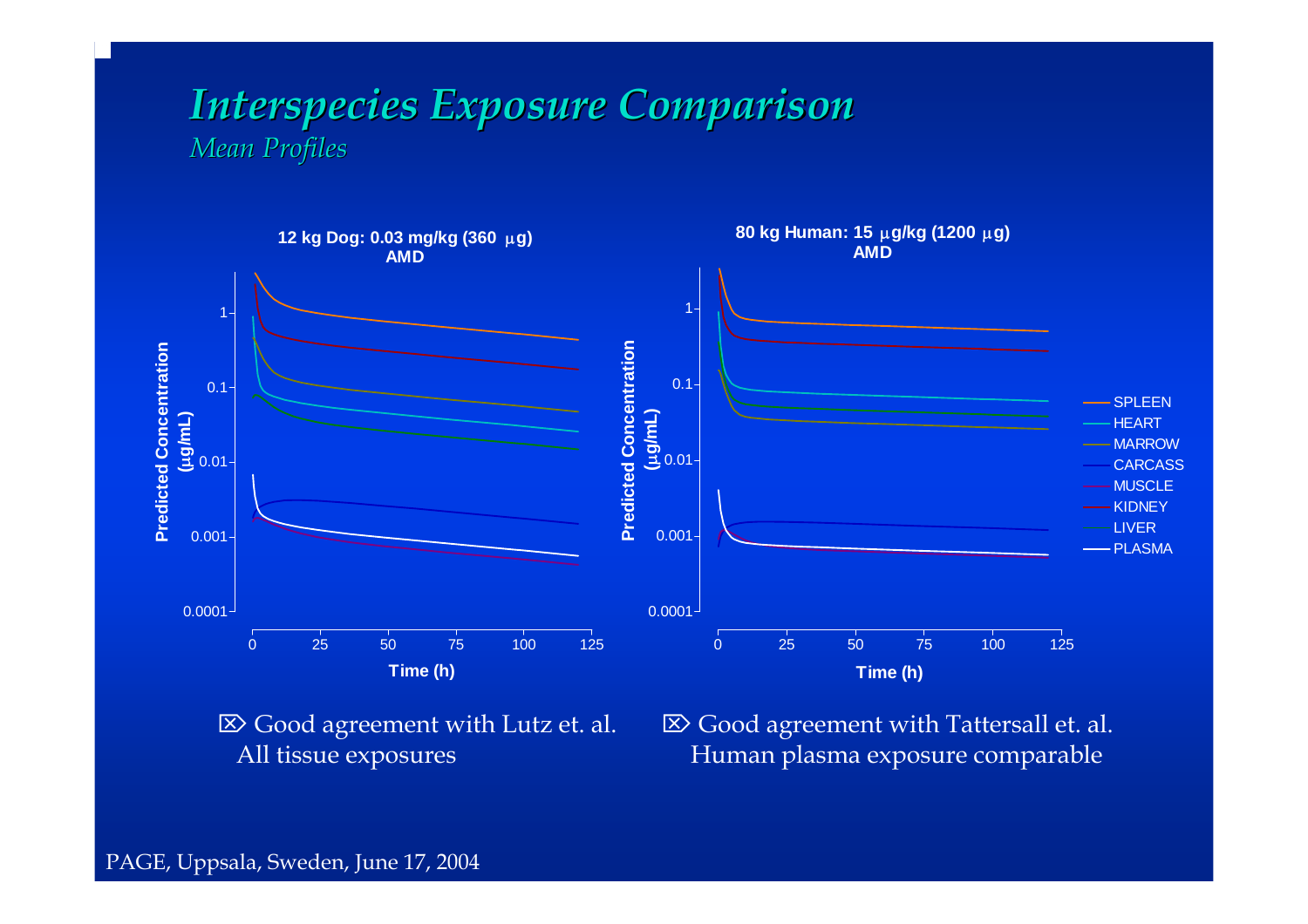#### *Interspecies Exposure Comparison Interspecies Exposure Comparison Mean Profiles Mean Profiles*



 $\boxtimes$  Good agreement with Lutz et. al. All tissue exposures

 $\boxtimes$  Good agreement with Tattersall et. al. Human plasma exposure comparable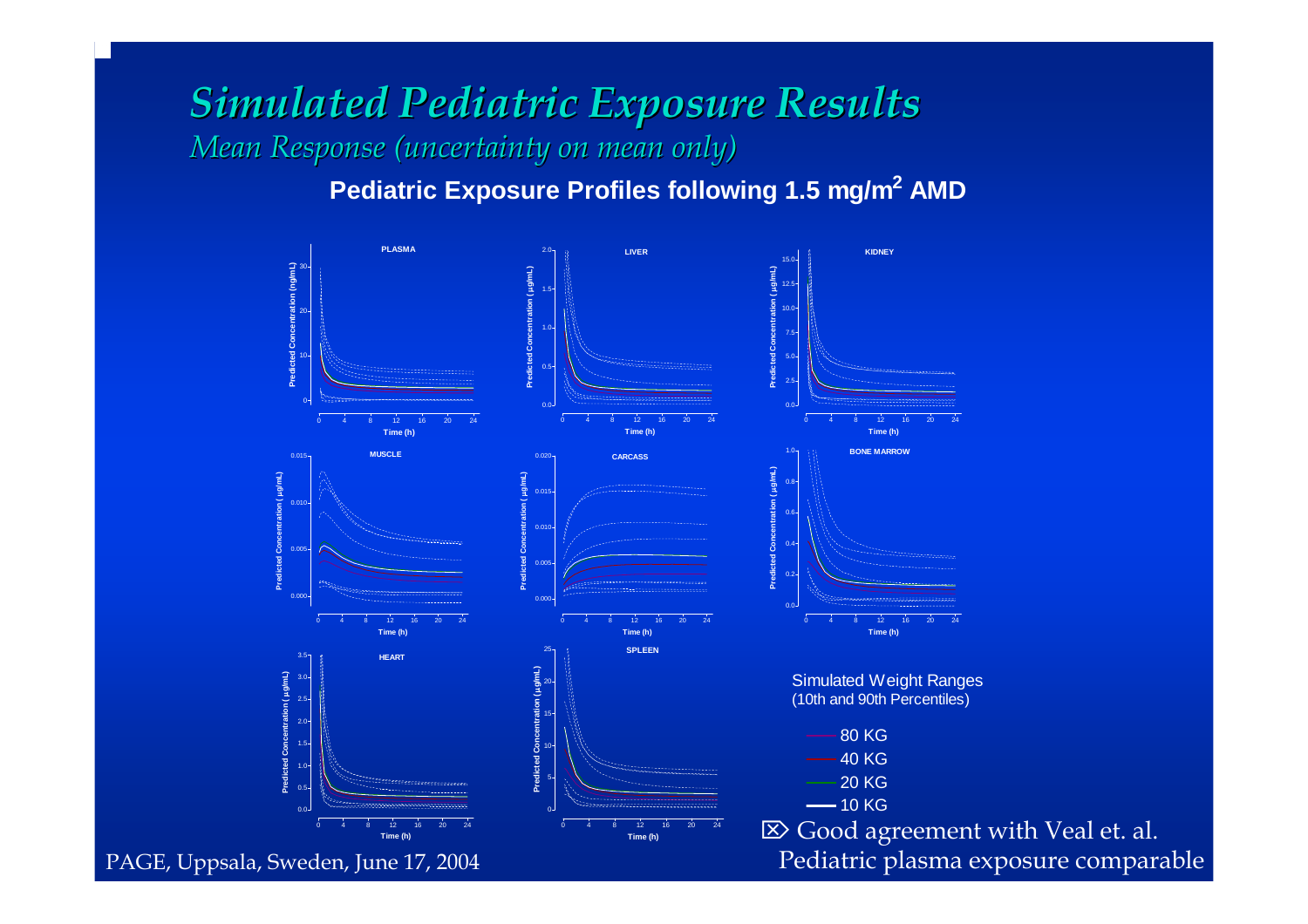## *Simulated Pediatric Exposure Results Simulated Pediatric Exposure Results Mean Response (uncertainty on mean only)*

Pediatric Exposure Profiles following 1.5 mg/m<sup>2</sup> AMD

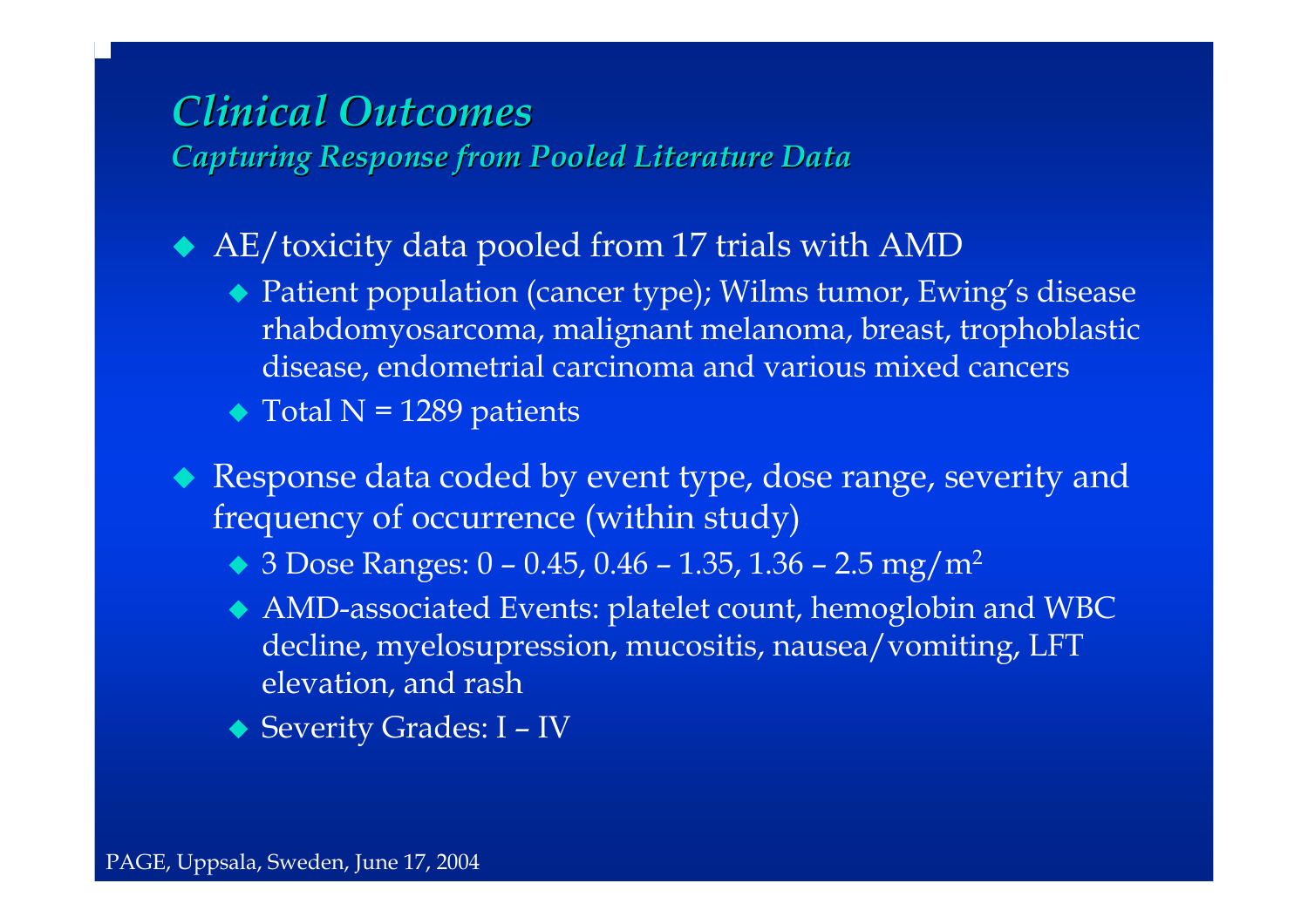#### *Clinical Outcomes Clinical OutcomesCapturing Response from Pooled Literature Data Capturing Response from Pooled Literature Data*

AE/toxicity data pooled from 17 trials with AMD

- ◆ Patient population (cancer type); Wilms tumor, Ewing's disease rhabdomyosarcoma, malignant melanoma, breast, trophoblastic disease, endometrial carcinoma and various mixed cancers
- $\blacktriangleright$  Total N = 1289 patients
- Response data coded by event type, dose range, severity and frequency of occurrence (within study)
	- ◆ 3 Dose Ranges: 0 0.45, 0.46 1.35, 1.36 2.5 mg/m<sup>2</sup>
	- AMD-associated Events: platelet count, hemoglobin and WBC decline, myelosupression, mucositis, nausea/vomiting, LFT elevation, and rash
	- ◆ Severity Grades: I IV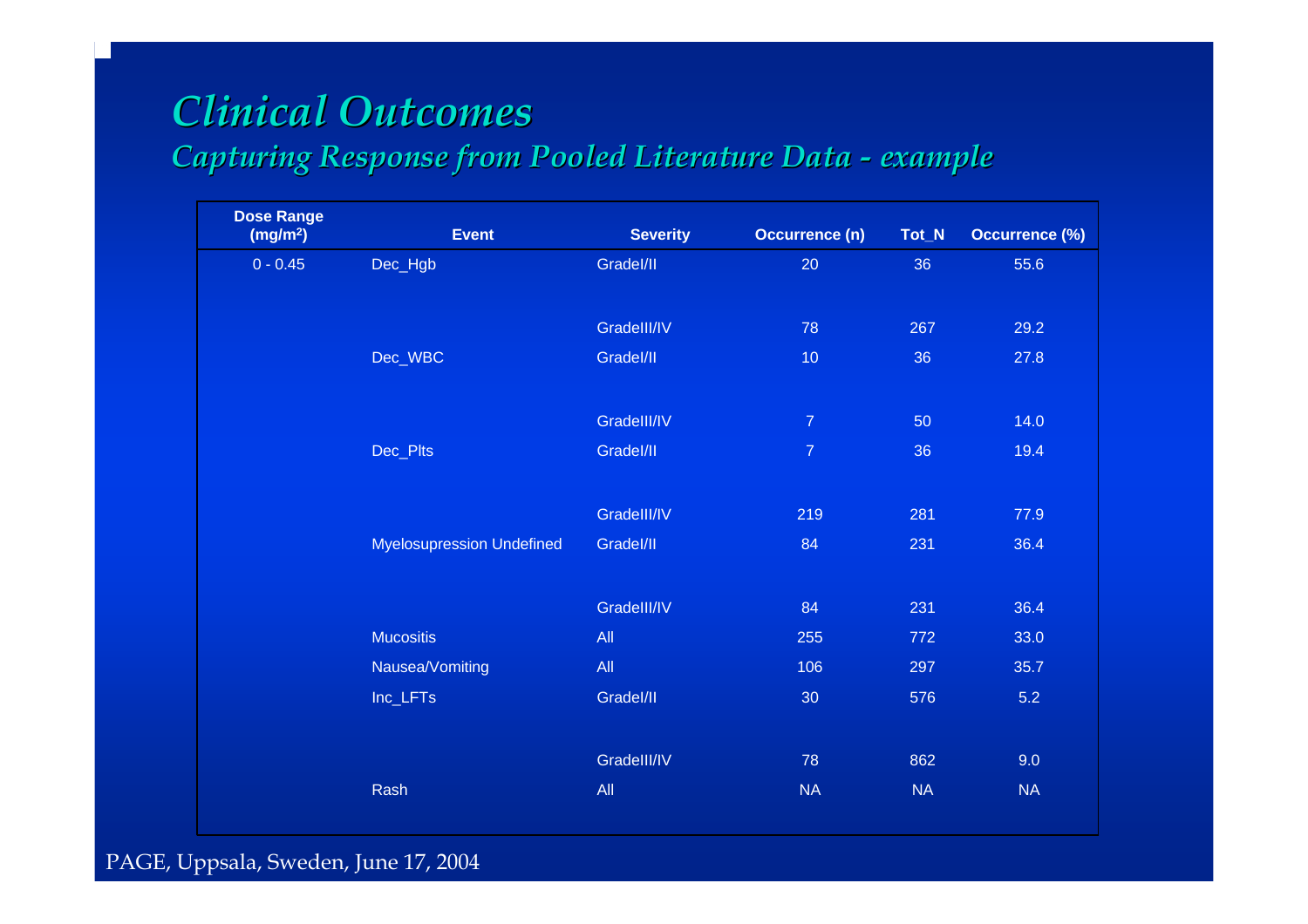# *Clinical Outcomes Clinical Outcomes*

#### *Capturing Response from Pooled Literature Data Capturing Response from Pooled Literature Data example example*

| <b>Dose Range</b><br>(mg/m <sup>2</sup> ) | <b>Event</b>                     | <b>Severity</b> | Occurrence (n)  | Tot_N | Occurrence (%) |
|-------------------------------------------|----------------------------------|-----------------|-----------------|-------|----------------|
| $0 - 0.45$                                | Dec_Hgb                          | Gradel/II       | 20              | 36    | 55.6           |
|                                           |                                  |                 |                 |       |                |
|                                           |                                  | Gradelll/IV     | 78              | 267   | 29.2           |
|                                           | Dec_WBC                          | Gradel/II       | 10 <sub>1</sub> | 36    | 27.8           |
|                                           |                                  |                 |                 |       |                |
|                                           |                                  | Gradelll/IV     | $\overline{7}$  | 50    | 14.0           |
|                                           | Dec_Plts                         | Gradel/II       | $\overline{7}$  | 36    | 19.4           |
|                                           |                                  |                 |                 |       |                |
|                                           |                                  | GradelII/IV     | 219             | 281   | 77.9           |
|                                           | <b>Myelosupression Undefined</b> | Gradel/II       | 84              | 231   | 36.4           |
|                                           |                                  |                 |                 |       |                |
|                                           |                                  | GradelII/IV     | 84              | 231   | 36.4           |
|                                           | <b>Mucositis</b>                 | All             | 255             | 772   | 33.0           |
|                                           | Nausea/Vomiting                  | All             | 106             | 297   | 35.7           |
|                                           | Inc_LFTs                         | Gradel/II       | 30              | 576   | 5.2            |
|                                           |                                  |                 |                 |       |                |
|                                           |                                  | Gradelll/IV     | 78              | 862   | 9.0            |
|                                           | Rash                             | All             | NA              | NA    | NA             |
|                                           |                                  |                 |                 |       |                |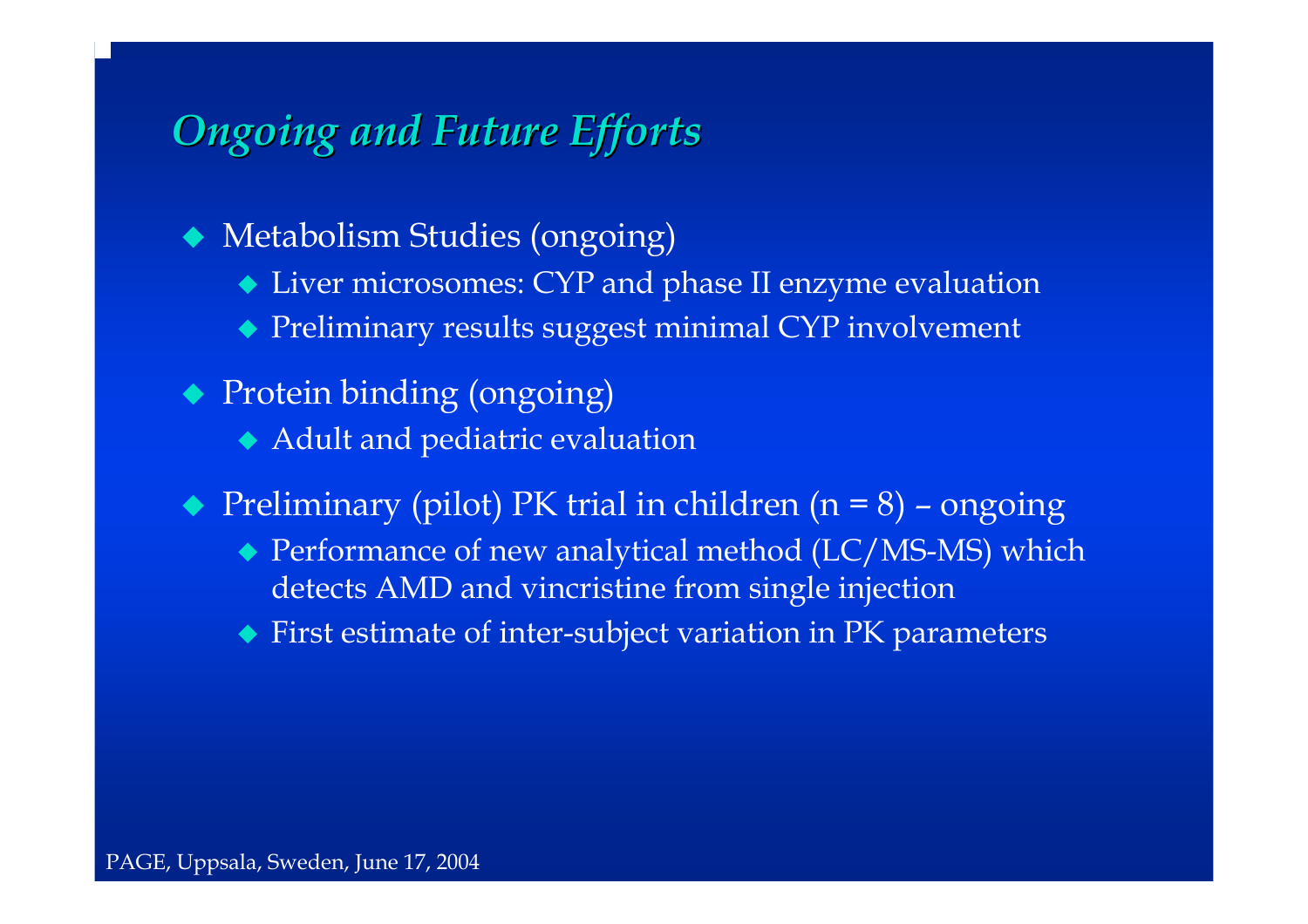# *Ongoing and Future Efforts Ongoing and Future Efforts*

Metabolism Studies (ongoing)

- Liver microsomes: CYP and phase II enzyme evaluation
- Preliminary results suggest minimal CYP involvement
- Protein binding (ongoing)
	- Adult and pediatric evaluation
- ◆ Preliminary (pilot) PK trial in children (n = 8) ongoing
	- ◆ Performance of new analytical method (LC/MS-MS) which detects AMD and vincristine from single injection
	- First estimate of inter-subject variation in PK parameters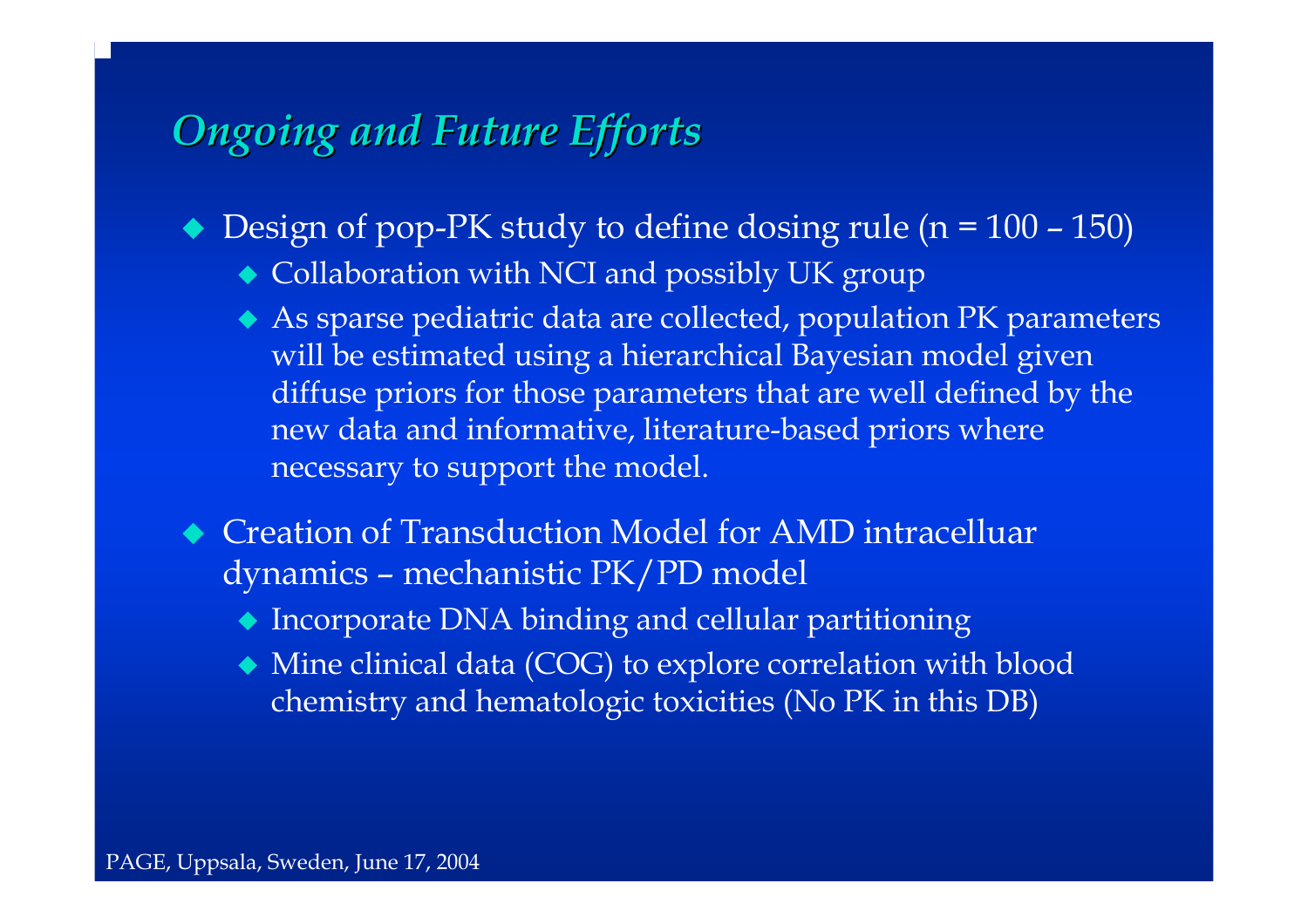# *Ongoing and Future Efforts Ongoing and Future Efforts*

- ◆ Design of pop-PK study to define dosing rule (n = 100 150)
	- Collaboration with NCI and possibly UK group
	- As sparse pediatric data are collected, population PK parameters will be estimated using a hierarchical Bayesian model given diffuse priors for those parameters that are well defined by the new data and informative, literature-based priors where necessary to support the model.
- ◆ Creation of Transduction Model for AMD intracelluar dynamics – mechanistic PK/PD model
	- Incorporate DNA binding and cellular partitioning
	- Mine clinical data (COG) to explore correlation with blood chemistry and hematologic toxicities (No PK in this DB)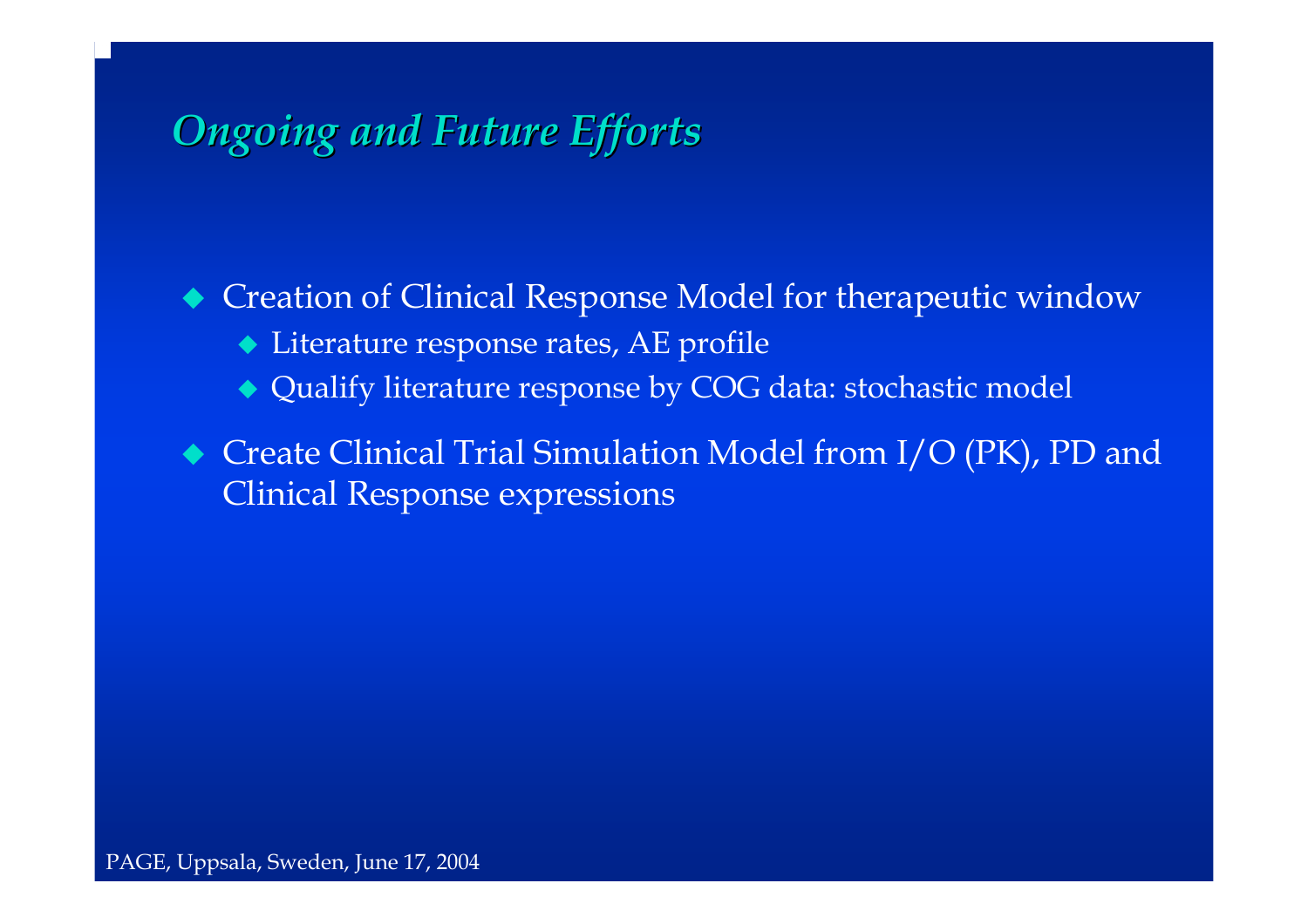# *Ongoing and Future Efforts Ongoing and Future Efforts*

 Creation of Clinical Response Model for therapeutic window Literature response rates, AE profile Qualify literature response by COG data: stochastic model

◆ Create Clinical Trial Simulation Model from I/O (PK), PD and Clinical Response expressions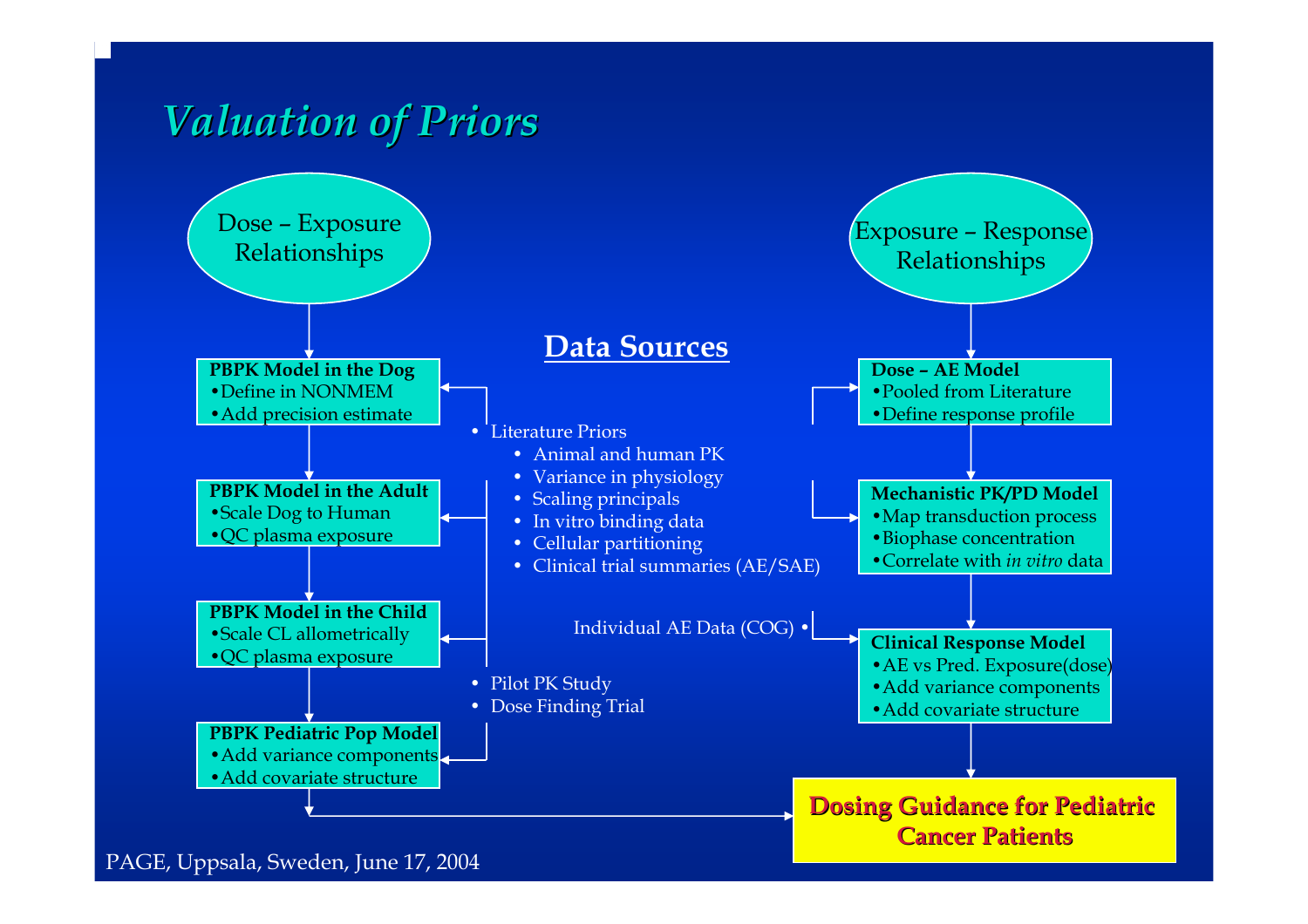# *Valuation of Priors Valuation of Priors*



PAGE, Uppsala, Sweden, June 17, 2004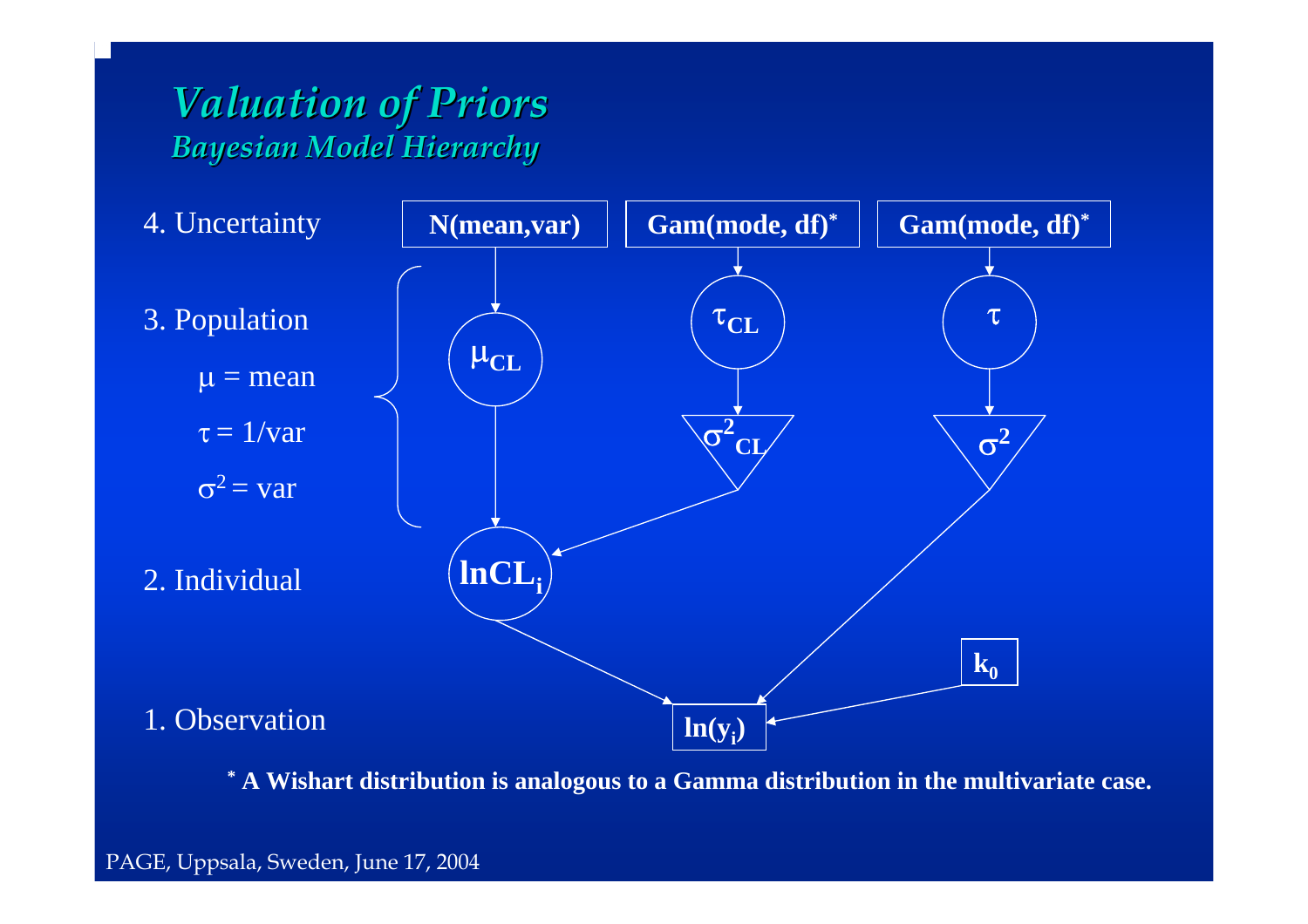## *Valuation of Priors Valuation of Priors Bayesian Model Hierarchy Bayesian Model Hierarchy*



**\* A Wishart distribution is analogous to a Gamma distribution in the multivariate case.**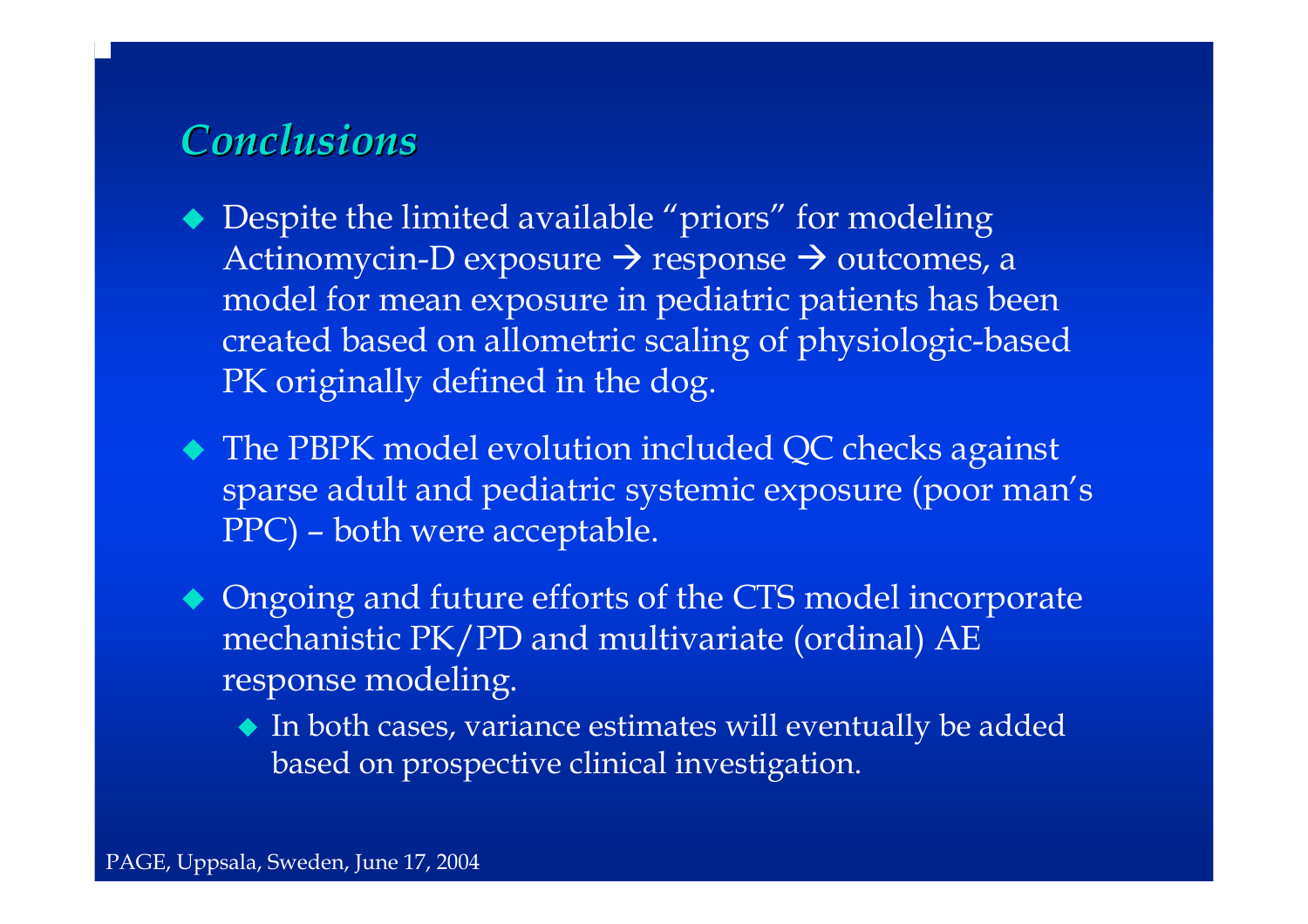## *Conclusions Conclusions*

- $\blacklozenge$  Despite the limited available "priors" for modeling Actinomycin-D exposure → response → outcomes, a model for mean exposure in pediatric patients has been created based on allometric scaling of physiologic-based PK originally defined in the dog.
- The PBPK model evolution included QC checks against sparse adult and pediatric systemic exposure (poor man's PPC) – both were acceptable.
- $\blacklozenge$  Ongoing and future efforts of the CTS model incorporate mechanistic PK/PD and multivariate (ordinal) AE response modeling.
	- In both cases, variance estimates will eventually be added based on prospective clinical investigation.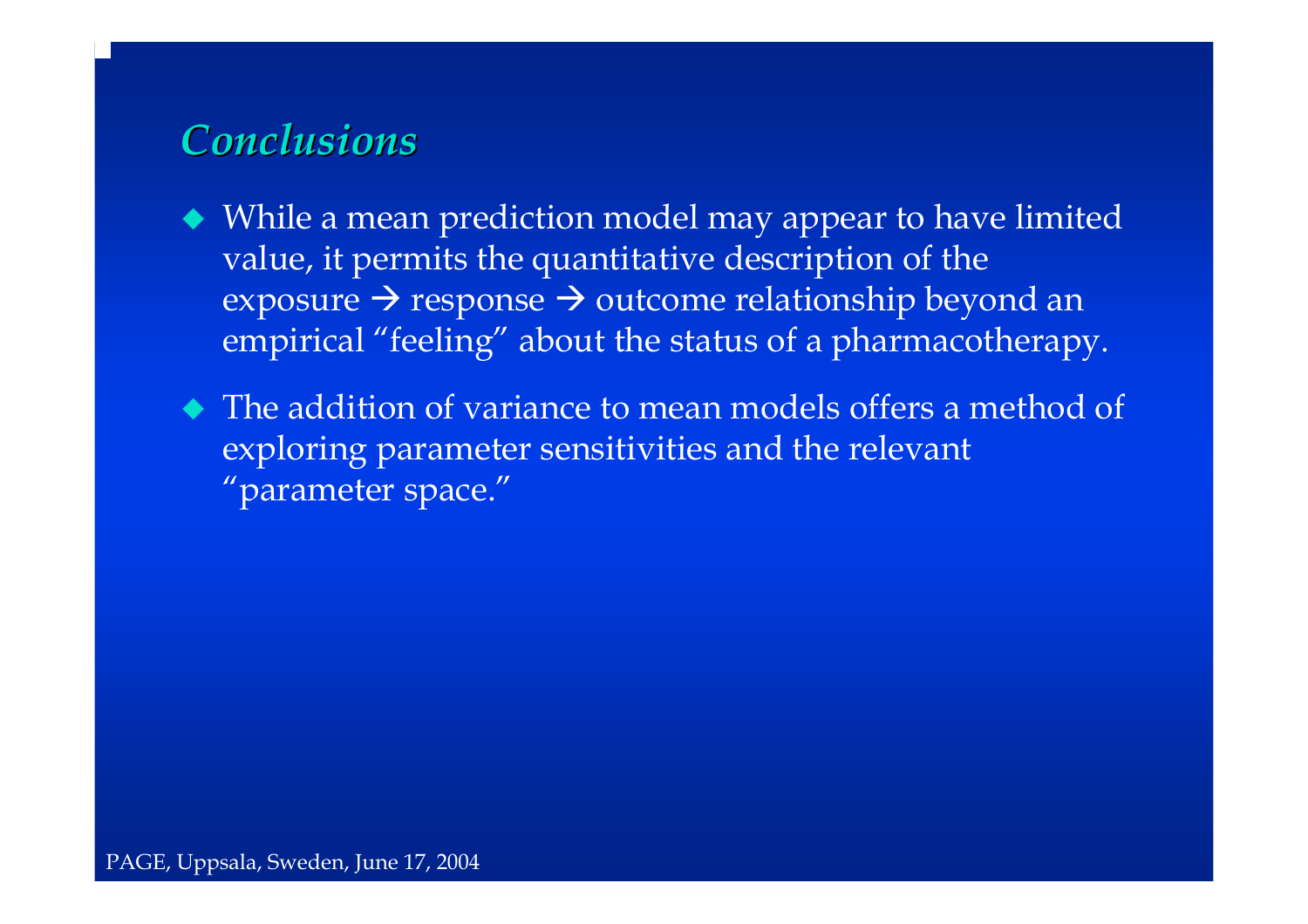## *Conclusions Conclusions*

 While a mean prediction model may appear to have limited value, it permits the quantitative description of the exposure  $\rightarrow$  response  $\rightarrow$  outcome relationship beyond an  $^$ empirical "feeling" about the status of a pharmacotherapy.

• The addition of variance to mean models offers a method of exploring parameter sensitivities and the relevant "parameter space."